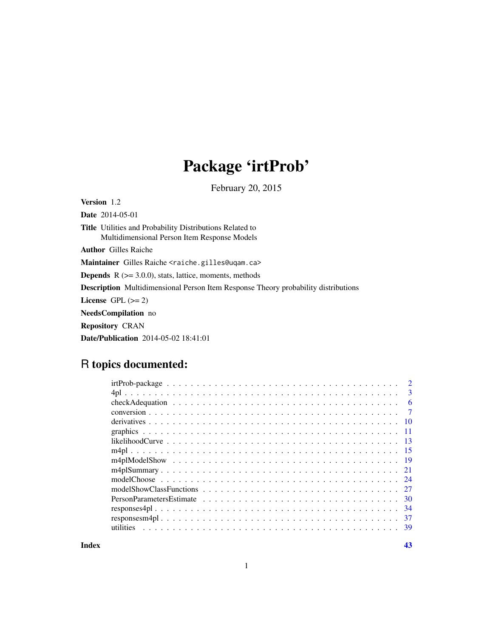# Package 'irtProb'

February 20, 2015

<span id="page-0-0"></span>Version 1.2 Date 2014-05-01 Title Utilities and Probability Distributions Related to Multidimensional Person Item Response Models Author Gilles Raiche Maintainer Gilles Raiche <raiche.gilles@uqam.ca> **Depends**  $R$  ( $>= 3.0.0$ ), stats, lattice, moments, methods Description Multidimensional Person Item Response Theory probability distributions License GPL  $(>= 2)$ NeedsCompilation no Repository CRAN Date/Publication 2014-05-02 18:41:01

# R topics documented:

|     | $\overline{2}$ |
|-----|----------------|
|     | $\mathbf{3}$   |
| -6  |                |
|     | $\overline{7}$ |
|     |                |
|     |                |
|     |                |
|     |                |
|     |                |
|     |                |
|     |                |
|     |                |
|     |                |
|     |                |
| -37 |                |
|     |                |
|     |                |

**Index** [43](#page-42-0)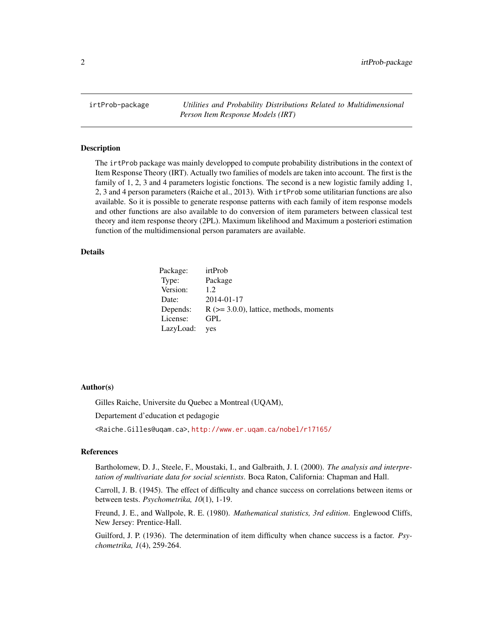<span id="page-1-0"></span>irtProb-package *Utilities and Probability Distributions Related to Multidimensional Person Item Response Models (IRT)*

#### Description

The irtProb package was mainly developped to compute probability distributions in the context of Item Response Theory (IRT). Actually two families of models are taken into account. The first is the family of 1, 2, 3 and 4 parameters logistic fonctions. The second is a new logistic family adding 1, 2, 3 and 4 person parameters (Raiche et al., 2013). With irtProb some utilitarian functions are also available. So it is possible to generate response patterns with each family of item response models and other functions are also available to do conversion of item parameters between classical test theory and item response theory (2PL). Maximum likelihood and Maximum a posteriori estimation function of the multidimensional person paramaters are available.

# Details

| Package:  | irtProb                                      |
|-----------|----------------------------------------------|
| Type:     | Package                                      |
| Version:  | 12                                           |
| Date:     | 2014-01-17                                   |
| Depends:  | $R$ ( $>=$ 3.0.0), lattice, methods, moments |
| License:  | GPL                                          |
| LazyLoad: | yes                                          |

#### Author(s)

Gilles Raiche, Universite du Quebec a Montreal (UQAM),

Departement d'education et pedagogie

<Raiche.Gilles@uqam.ca>, <http://www.er.uqam.ca/nobel/r17165/>

### References

Bartholomew, D. J., Steele, F., Moustaki, I., and Galbraith, J. I. (2000). *The analysis and interpretation of multivariate data for social scientists*. Boca Raton, California: Chapman and Hall.

Carroll, J. B. (1945). The effect of difficulty and chance success on correlations between items or between tests. *Psychometrika, 10*(1), 1-19.

Freund, J. E., and Wallpole, R. E. (1980). *Mathematical statistics, 3rd edition*. Englewood Cliffs, New Jersey: Prentice-Hall.

Guilford, J. P. (1936). The determination of item difficulty when chance success is a factor. *Psychometrika, 1*(4), 259-264.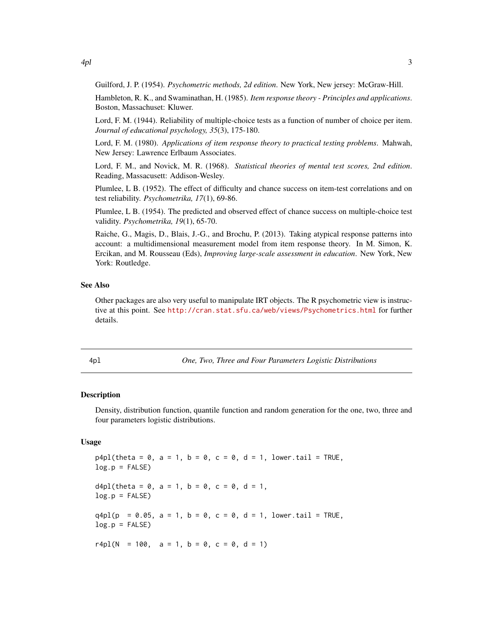<span id="page-2-0"></span>Guilford, J. P. (1954). *Psychometric methods, 2d edition*. New York, New jersey: McGraw-Hill.

Hambleton, R. K., and Swaminathan, H. (1985). *Item response theory - Principles and applications*. Boston, Massachuset: Kluwer.

Lord, F. M. (1944). Reliability of multiple-choice tests as a function of number of choice per item. *Journal of educational psychology, 35*(3), 175-180.

Lord, F. M. (1980). *Applications of item response theory to practical testing problems*. Mahwah, New Jersey: Lawrence Erlbaum Associates.

Lord, F. M., and Novick, M. R. (1968). *Statistical theories of mental test scores, 2nd edition*. Reading, Massacusett: Addison-Wesley.

Plumlee, L B. (1952). The effect of difficulty and chance success on item-test correlations and on test reliability. *Psychometrika, 17*(1), 69-86.

Plumlee, L B. (1954). The predicted and observed effect of chance success on multiple-choice test validity. *Psychometrika, 19*(1), 65-70.

Raiche, G., Magis, D., Blais, J.-G., and Brochu, P. (2013). Taking atypical response patterns into account: a multidimensional measurement model from item response theory. In M. Simon, K. Ercikan, and M. Rousseau (Eds), *Improving large-scale assessment in education*. New York, New York: Routledge.

#### See Also

Other packages are also very useful to manipulate IRT objects. The R psychometric view is instructive at this point. See <http://cran.stat.sfu.ca/web/views/Psychometrics.html> for further details.

4pl *One, Two, Three and Four Parameters Logistic Distributions*

#### Description

Density, distribution function, quantile function and random generation for the one, two, three and four parameters logistic distributions.

#### Usage

 $p4p1$ (theta = 0, a = 1, b = 0, c = 0, d = 1, lower.tail = TRUE,  $log.p = FALSE$  $d4pl$ (theta = 0, a = 1, b = 0, c = 0, d = 1,  $log.p = FALSE$  $q4pl(p = 0.05, a = 1, b = 0, c = 0, d = 1, lower.tail = TRUE,$  $log.p = FALSE$ r4pl(N = 100,  $a = 1$ ,  $b = 0$ ,  $c = 0$ ,  $d = 1$ )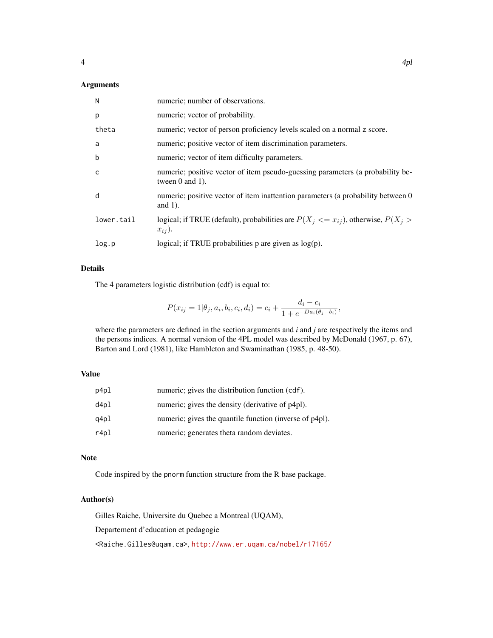# Arguments

| N            | numeric; number of observations.                                                                         |
|--------------|----------------------------------------------------------------------------------------------------------|
| p            | numeric; vector of probability.                                                                          |
| theta        | numeric; vector of person proficiency levels scaled on a normal z score.                                 |
| a            | numeric; positive vector of item discrimination parameters.                                              |
| $\mathsf b$  | numeric; vector of item difficulty parameters.                                                           |
| $\mathsf{C}$ | numeric; positive vector of item pseudo-guessing parameters (a probability be-<br>tween $0$ and $1$ ).   |
| d            | numeric; positive vector of item inattention parameters (a probability between 0<br>and $1$ ).           |
| lower.tail   | logical; if TRUE (default), probabilities are $P(X_i \leq x_{ij})$ , otherwise, $P(X_i >$<br>$x_{ij}$ ). |
| log.p        | logical; if TRUE probabilities $p$ are given as $log(p)$ .                                               |

# Details

The 4 parameters logistic distribution (cdf) is equal to:

$$
P(x_{ij} = 1 | \theta_j, a_i, b_i, c_i, d_i) = c_i + \frac{d_i - c_i}{1 + e^{-D a_i(\theta_j - b_i)}},
$$

where the parameters are defined in the section arguments and *i* and *j* are respectively the items and the persons indices. A normal version of the 4PL model was described by McDonald (1967, p. 67), Barton and Lord (1981), like Hambleton and Swaminathan (1985, p. 48-50).

## Value

| p4pl | numeric; gives the distribution function (cdf).         |
|------|---------------------------------------------------------|
| d4p1 | numeric; gives the density (derivative of p4pl).        |
| q4pl | numeric; gives the quantile function (inverse of p4pl). |
| r4pl | numeric; generates theta random deviates.               |

#### Note

Code inspired by the pnorm function structure from the R base package.

#### Author(s)

Gilles Raiche, Universite du Quebec a Montreal (UQAM), Departement d'education et pedagogie <Raiche.Gilles@uqam.ca>, <http://www.er.uqam.ca/nobel/r17165/>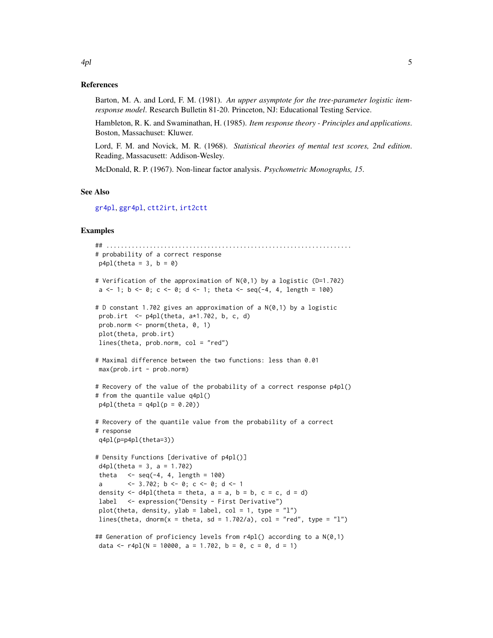#### References

Barton, M. A. and Lord, F. M. (1981). *An upper asymptote for the tree-parameter logistic itemresponse model*. Research Bulletin 81-20. Princeton, NJ: Educational Testing Service.

Hambleton, R. K. and Swaminathan, H. (1985). *Item response theory - Principles and applications*. Boston, Massachuset: Kluwer.

Lord, F. M. and Novick, M. R. (1968). *Statistical theories of mental test scores, 2nd edition*. Reading, Massacusett: Addison-Wesley.

McDonald, R. P. (1967). Non-linear factor analysis. *Psychometric Monographs, 15*.

#### See Also

[gr4pl](#page-33-1), [ggr4pl](#page-33-1), [ctt2irt](#page-6-1), [irt2ctt](#page-6-1)

#### Examples

```
## ....................................................................
# probability of a correct response
p4p1(theta = 3, b = 0)
# Verification of the approximation of N(0,1) by a logistic (D=1.702)
a \le 1; b \le 0; c \le 0; d \le 1; theta \le seq(-4, 4, length = 100)
# D constant 1.702 gives an approximation of a N(0,1) by a logistic
prob.irt \leq p4pl(theta, a*1.702, b, c, d)
prob.norm <- pnorm(theta, 0, 1)
plot(theta, prob.irt)
lines(theta, prob.norm, col = "red")
# Maximal difference between the two functions: less than 0.01
max(prob.int - prob.norm)# Recovery of the value of the probability of a correct response p4pl()
# from the quantile value q4pl()
p4p1(theta = q4p1(p = 0.20))
# Recovery of the quantile value from the probability of a correct
# response
q4pl(p=p4pl(theta=3))
# Density Functions [derivative of p4pl()]
d4pl(theta = 3, a = 1.702)
theta \leq seq(-4, 4, length = 100)
a <- 3.702; b <- 0; c <- 0; d <- 1
density \leq d4pl(theta = theta, a = a, b = b, c = c, d = d)
label <- expression("Density - First Derivative")
plot(theta, density, ylab = label, col = 1, type = "1")
lines(theta, dnorm(x = theta, sd = 1.702/a), col = "red", type = "l")
## Generation of proficiency levels from r4pl() according to a N(0,1)
data <- r4pl(N = 10000, a = 1.702, b = 0, c = 0, d = 1)
```
<span id="page-4-0"></span> $4pl$  5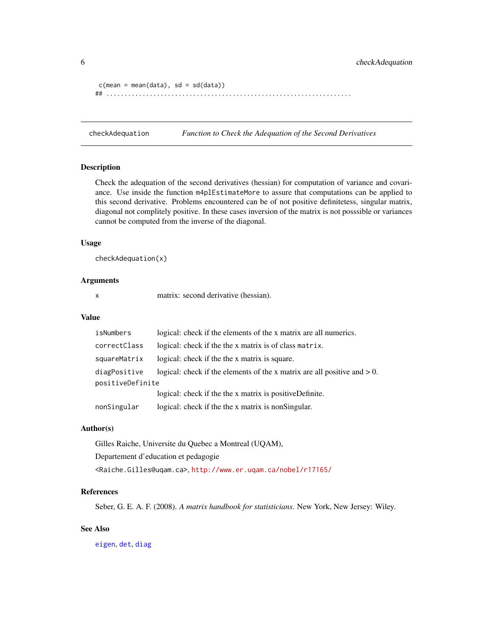```
c(mean = mean(data), sd = sd(data))## ....................................................................
```
checkAdequation *Function to Check the Adequation of the Second Derivatives*

#### Description

Check the adequation of the second derivatives (hessian) for computation of variance and covariance. Use inside the function m4plEstimateMore to assure that computations can be applied to this second derivative. Problems encountered can be of not positive definitetess, singular matrix, diagonal not complitely positive. In these cases inversion of the matrix is not posssible or variances cannot be computed from the inverse of the diagonal.

### Usage

checkAdequation(x)

#### Arguments

x matrix: second derivative (hessian).

#### Value

| isNumbers        | logical: check if the elements of the x matrix are all numerics.            |
|------------------|-----------------------------------------------------------------------------|
| correctClass     | logical: check if the the x matrix is of class matrix.                      |
| squareMatrix     | logical: check if the the x matrix is square.                               |
| diagPositive     | logical: check if the elements of the x matrix are all positive and $> 0$ . |
| positiveDefinite |                                                                             |
|                  | logical: check if the the x matrix is positiveDefinite.                     |
| nonSingular      | logical: check if the the x matrix is nonSingular.                          |

#### Author(s)

Gilles Raiche, Universite du Quebec a Montreal (UQAM), Departement d'education et pedagogie <Raiche.Gilles@uqam.ca>, <http://www.er.uqam.ca/nobel/r17165/>

# References

Seber, G. E. A. F. (2008). *A matrix handbook for statisticians*. New York, New Jersey: Wiley.

#### See Also

[eigen](#page-0-0), [det](#page-0-0), [diag](#page-0-0)

<span id="page-5-0"></span>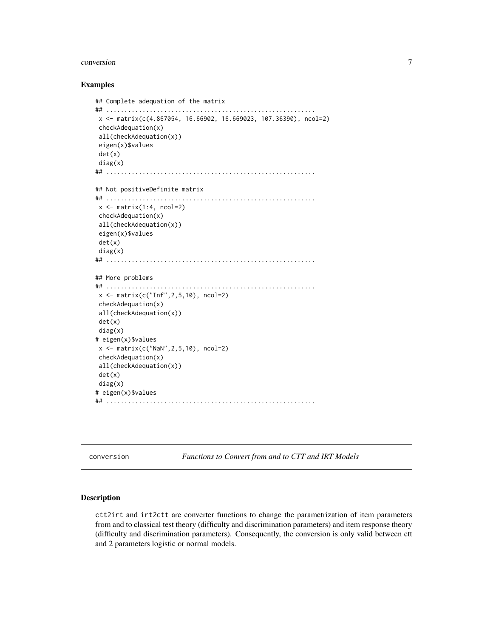#### <span id="page-6-0"></span>conversion 7

#### Examples

```
## Complete adequation of the matrix
## ..........................................................
x <- matrix(c(4.867054, 16.66902, 16.669023, 107.36390), ncol=2)
checkAdequation(x)
all(checkAdequation(x))
eigen(x)$values
det(x)
diag(x)
## ..........................................................
## Not positiveDefinite matrix
## ..........................................................
x \leftarrow \text{matrix}(1:4, \text{ncol=2})checkAdequation(x)
 all(checkAdequation(x))
eigen(x)$values
det(x)
diag(x)
## ..........................................................
## More problems
## ..........................................................
x <- matrix(c("Inf",2,5,10), ncol=2)
checkAdequation(x)
all(checkAdequation(x))
det(x)
diag(x)
# eigen(x)$values
x \le - matrix(c("NaN", 2, 5, 10), ncol=2)
checkAdequation(x)
all(checkAdequation(x))
det(x)
diag(x)
# eigen(x)$values
## ..........................................................
```
conversion *Functions to Convert from and to CTT and IRT Models*

#### <span id="page-6-1"></span>Description

ctt2irt and irt2ctt are converter functions to change the parametrization of item parameters from and to classical test theory (difficulty and discrimination parameters) and item response theory (difficulty and discrimination parameters). Consequently, the conversion is only valid between ctt and 2 parameters logistic or normal models.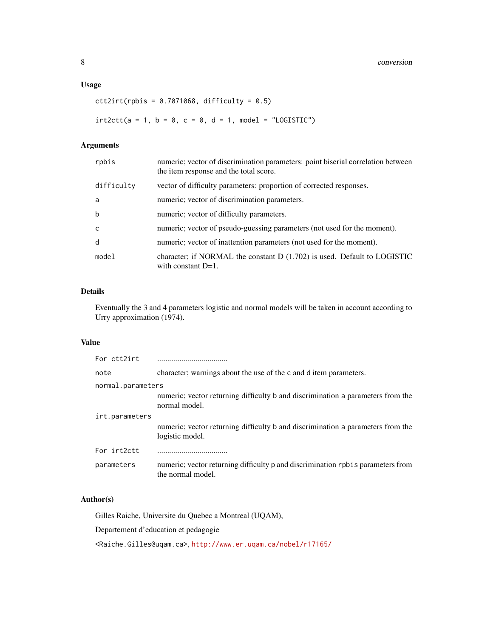# Usage

```
ctt2irt(r{\text{pbis}} = 0.7071068, difficulty = 0.5)
```
 $irt2ctt(a = 1, b = 0, c = 0, d = 1, model = "LOGISTIC")$ 

# Arguments

| rpbis      | numeric; vector of discrimination parameters: point biserial correlation between<br>the item response and the total score. |
|------------|----------------------------------------------------------------------------------------------------------------------------|
| difficulty | vector of difficulty parameters: proportion of corrected responses.                                                        |
| a          | numeric; vector of discrimination parameters.                                                                              |
| b          | numeric; vector of difficulty parameters.                                                                                  |
| C          | numeric; vector of pseudo-guessing parameters (not used for the moment).                                                   |
| d          | numeric; vector of inattention parameters (not used for the moment).                                                       |
| model      | character; if NORMAL the constant D (1.702) is used. Default to LOGISTIC<br>with constant $D=1$ .                          |

# Details

Eventually the 3 and 4 parameters logistic and normal models will be taken in account according to Urry approximation (1974).

### Value

| For ctt2irt       |                                                                                                      |
|-------------------|------------------------------------------------------------------------------------------------------|
| note              | character; warnings about the use of the c and d item parameters.                                    |
| normal.parameters |                                                                                                      |
|                   | numeric; vector returning difficulty b and discrimination a parameters from the<br>normal model.     |
| irt.parameters    |                                                                                                      |
|                   | numeric; vector returning difficulty b and discrimination a parameters from the<br>logistic model.   |
| For irt2ctt       |                                                                                                      |
| parameters        | numeric; vector returning difficulty p and discrimination rpbis parameters from<br>the normal model. |

# Author(s)

Gilles Raiche, Universite du Quebec a Montreal (UQAM), Departement d'education et pedagogie <Raiche.Gilles@uqam.ca>, <http://www.er.uqam.ca/nobel/r17165/>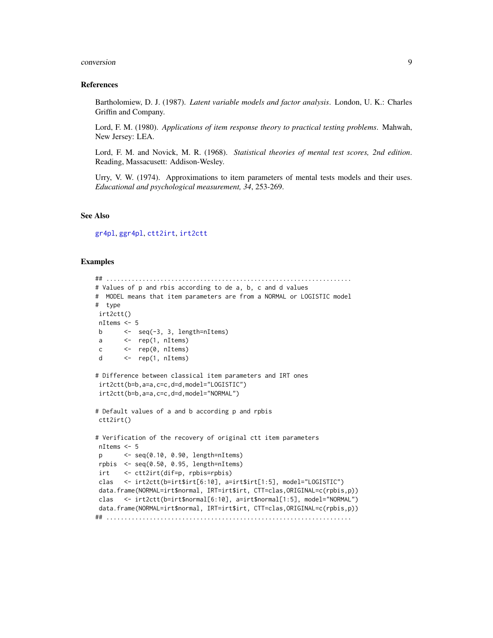#### <span id="page-8-0"></span>conversion 9

#### References

Bartholomiew, D. J. (1987). *Latent variable models and factor analysis*. London, U. K.: Charles Griffin and Company.

Lord, F. M. (1980). *Applications of item response theory to practical testing problems*. Mahwah, New Jersey: LEA.

Lord, F. M. and Novick, M. R. (1968). *Statistical theories of mental test scores, 2nd edition*. Reading, Massacusett: Addison-Wesley.

Urry, V. W. (1974). Approximations to item parameters of mental tests models and their uses. *Educational and psychological measurement, 34*, 253-269.

#### See Also

[gr4pl](#page-33-1), [ggr4pl](#page-33-1), [ctt2irt](#page-6-1), [irt2ctt](#page-6-1)

```
## ....................................................................
# Values of p and rbis according to de a, b, c and d values
# MODEL means that item parameters are from a NORMAL or LOGISTIC model
# type
irt2ctt()
nItems <- 5
b \leftarrow seq(-3, 3, length=nItems)
a <- rep(1, nItems)
c <- rep(0, nItems)
d <- rep(1, nItems)
# Difference between classical item parameters and IRT ones
irt2ctt(b=b,a=a,c=c,d=d,model="LOGISTIC")
irt2ctt(b=b,a=a,c=c,d=d,model="NORMAL")
# Default values of a and b according p and rpbis
ctt2irt()
# Verification of the recovery of original ctt item parameters
nItems <- 5
p <- seq(0.10, 0.90, length=nItems)
rpbis <- seq(0.50, 0.95, length=nItems)
irt <- ctt2irt(dif=p, rpbis=rpbis)
clas <- irt2ctt(b=irt$irt[6:10], a=irt$irt[1:5], model="LOGISTIC")
data.frame(NORMAL=irt$normal, IRT=irt$irt, CTT=clas,ORIGINAL=c(rpbis,p))
clas <- irt2ctt(b=irt$normal[6:10], a=irt$normal[1:5], model="NORMAL")
data.frame(NORMAL=irt$normal, IRT=irt$irt, CTT=clas,ORIGINAL=c(rpbis,p))
## ....................................................................
```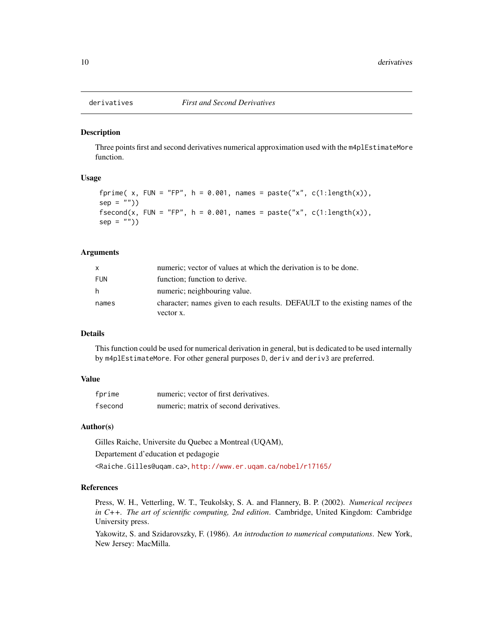<span id="page-9-0"></span>

# Description

Three points first and second derivatives numerical approximation used with the m4plEstimateMore function.

# Usage

```
fprime( x, FUN = "FP", h = 0.001, names = paste("x", c(1:length(x)),
sep = "")fsecond(x, FUN = "FP", h = 0.001, names = paste("x", c(1:length(x)),sep = "")
```
### Arguments

| X          | numeric; vector of values at which the derivation is to be done.                          |
|------------|-------------------------------------------------------------------------------------------|
| <b>FUN</b> | function; function to derive.                                                             |
| h.         | numeric; neighbouring value.                                                              |
| names      | character; names given to each results. DEFAULT to the existing names of the<br>vector x. |

#### Details

This function could be used for numerical derivation in general, but is dedicated to be used internally by m4plEstimateMore. For other general purposes D, deriv and deriv3 are preferred.

# Value

| fprime  | numeric; vector of first derivatives.  |
|---------|----------------------------------------|
| fsecond | numeric; matrix of second derivatives. |

#### Author(s)

Gilles Raiche, Universite du Quebec a Montreal (UQAM), Departement d'education et pedagogie <Raiche.Gilles@uqam.ca>, <http://www.er.uqam.ca/nobel/r17165/>

# References

Press, W. H., Vetterling, W. T., Teukolsky, S. A. and Flannery, B. P. (2002). *Numerical recipees in C++. The art of scientific computing, 2nd edition*. Cambridge, United Kingdom: Cambridge University press.

Yakowitz, S. and Szidarovszky, F. (1986). *An introduction to numerical computations*. New York, New Jersey: MacMilla.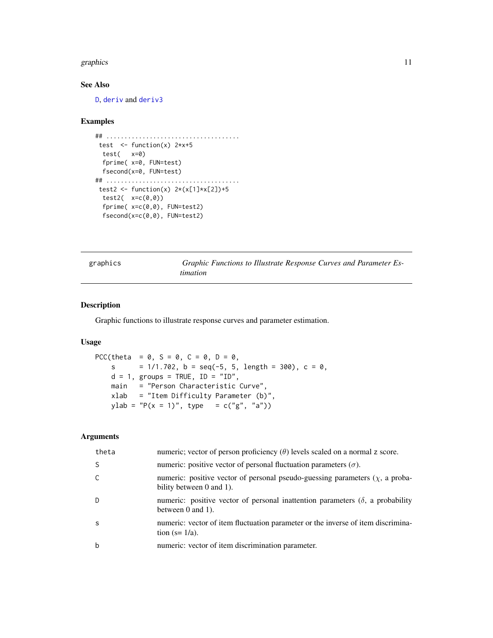#### <span id="page-10-0"></span>graphics and the state of the state of the state of the state of the state of the state of the state of the state of the state of the state of the state of the state of the state of the state of the state of the state of t

# See Also

[D](#page-0-0), [deriv](#page-0-0) and [deriv3](#page-0-0)

#### Examples

```
## .....................................
test \le function(x) 2*x+5test( x=0)
 fprime( x=0, FUN=test)
 fsecond(x=0, FUN=test)
## .....................................
test2 <- function(x) 2*(x[1]*x[2])+5test2(x=c(\emptyset,\emptyset))fprime( x=c(0,0), FUN=test2)
 fsecond(x=c(0,0), FUN=test2)
```
graphics *Graphic Functions to Illustrate Response Curves and Parameter Estimation*

# Description

Graphic functions to illustrate response curves and parameter estimation.

### Usage

```
PCC(theta = 0, S = 0, C = 0, D = 0,
   s = 1/1.702, b = seq(-5, 5, length = 300), c = 0,
   d = 1, groups = TRUE, ID = "ID",
   main = "Person Characteristic Curve",
   xlab = "Item Difficulty Parameter (b)",
   ylab = "P(x = 1)", type = c("g", "a"))
```
# Arguments

| theta        | numeric; vector of person proficiency $(\theta)$ levels scaled on a normal z score.                              |
|--------------|------------------------------------------------------------------------------------------------------------------|
| <sub>S</sub> | numeric: positive vector of personal fluctuation parameters ( $\sigma$ ).                                        |
| C            | numeric: positive vector of personal pseudo-guessing parameters $(\chi)$ , a proba-<br>bility between 0 and 1).  |
| D            | numeric: positive vector of personal inattention parameters $(\delta)$ , a probability<br>between $0$ and $1$ ). |
| -S           | numeric: vector of item fluctuation parameter or the inverse of item discrimina-<br>tion $(s=1/a)$ .             |
| b            | numeric: vector of item discrimination parameter.                                                                |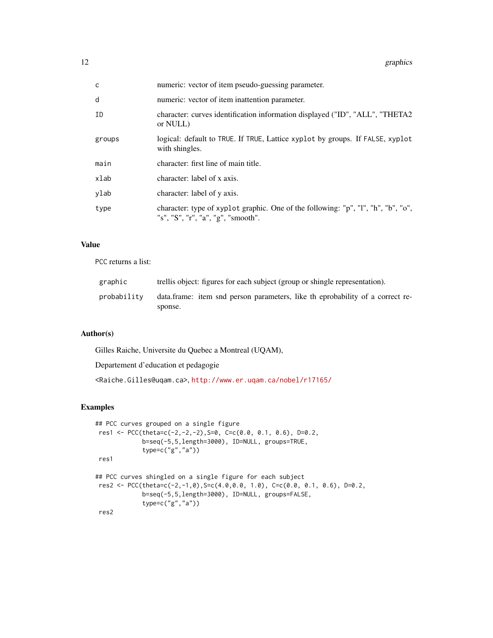| $\mathsf{C}$ | numeric: vector of item pseudo-guessing parameter.                                                                      |
|--------------|-------------------------------------------------------------------------------------------------------------------------|
| d            | numeric: vector of item inattention parameter.                                                                          |
| ID           | character: curves identification information displayed ("ID", "ALL", "THETA2<br>or NULL)                                |
| groups       | logical: default to TRUE. If TRUE, Lattice xyplot by groups. If FALSE, xyplot<br>with shingles.                         |
| main         | character: first line of main title.                                                                                    |
| xlab         | character: label of x axis.                                                                                             |
| ylab         | character: label of y axis.                                                                                             |
| type         | character: type of xyplot graphic. One of the following: "p", "l", "h", "b", "o",<br>"s", "S", "r", "a", "g", "smooth". |

# Value

PCC returns a list:

| graphic     | trellis object: figures for each subject (group or shingle representation).              |
|-------------|------------------------------------------------------------------------------------------|
| probability | data.frame: item snd person parameters, like the probability of a correct re-<br>sponse. |

# Author(s)

Gilles Raiche, Universite du Quebec a Montreal (UQAM),

Departement d'education et pedagogie

<Raiche.Gilles@uqam.ca>, <http://www.er.uqam.ca/nobel/r17165/>

```
## PCC curves grouped on a single figure
res1 <- PCC(theta=c(-2,-2,-2),S=0, C=c(0.0, 0.1, 0.6), D=0.2,
             b=seq(-5,5,length=3000), ID=NULL, groups=TRUE,
             type=c("g","a"))
res1
## PCC curves shingled on a single figure for each subject
res2 \leq PCC(theta = c(-2, -1, 0), Sec(4.0, 0.0, 1.0), C = c(0.0, 0.1, 0.6), D = 0.2,b=seq(-5,5,length=3000), ID=NULL, groups=FALSE,
             type=c("g","a"))
res2
```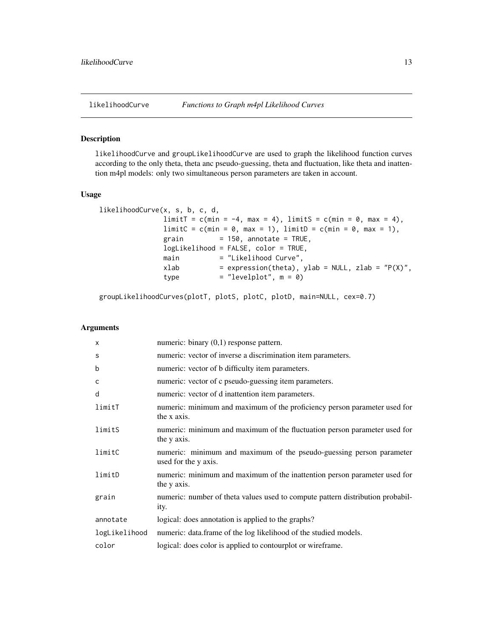#### <span id="page-12-0"></span>Description

likelihoodCurve and groupLikelihoodCurve are used to graph the likelihood function curves according to the only theta, theta anc pseudo-guessing, theta and fluctuation, like theta and inattention m4pl models: only two simultaneous person parameters are taken in account.

#### Usage

```
likelihoodCurve(x, s, b, c, d,
              limitT = c(min = -4, max = 4), limitS = c(min = 0, max = 4),limitC = c(min = 0, max = 1), limitD = c(min = 0, max = 1),grain = 150, annotate = TRUE,
              logLikelihood = FALSE, color = TRUE,
              main = "Likelihood Curve",
              xlab = expression(theta), ylab = NULL, zlab = "P(X),
              type = "levelplot", m = 0)
```
groupLikelihoodCurves(plotT, plotS, plotC, plotD, main=NULL, cex=0.7)

# Arguments

| $\times$      | numeric: binary $(0,1)$ response pattern.                                                    |
|---------------|----------------------------------------------------------------------------------------------|
| S             | numeric: vector of inverse a discrimination item parameters.                                 |
| b             | numeric: vector of b difficulty item parameters.                                             |
| C             | numeric: vector of c pseudo-guessing item parameters.                                        |
| d             | numeric: vector of d inattention item parameters.                                            |
| limitT        | numeric: minimum and maximum of the proficiency person parameter used for<br>the x axis.     |
| limitS        | numeric: minimum and maximum of the fluctuation person parameter used for<br>the y axis.     |
| limitC        | numeric: minimum and maximum of the pseudo-guessing person parameter<br>used for the y axis. |
| limitD        | numeric: minimum and maximum of the inattention person parameter used for<br>the y axis.     |
| grain         | numeric: number of theta values used to compute pattern distribution probabil-<br>ity.       |
| annotate      | logical: does annotation is applied to the graphs?                                           |
| logLikelihood | numeric: data.frame of the log likelihood of the studied models.                             |
| color         | logical: does color is applied to contourplot or wireframe.                                  |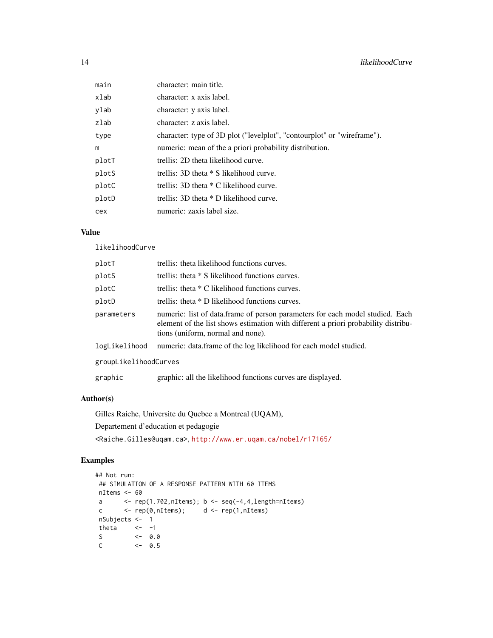| main  | character: main title.                                                  |
|-------|-------------------------------------------------------------------------|
| xlab  | character: x axis label.                                                |
| ylab  | character: y axis label.                                                |
| zlab  | character: z axis label.                                                |
| type  | character: type of 3D plot ("levelplot", "contourplot" or "wireframe"). |
| m     | numeric: mean of the a priori probability distribution.                 |
| plotT | trellis: 2D theta likelihood curve.                                     |
| plotS | trellis: $3D$ theta $*$ S likelihood curve.                             |
| plotC | trellis: $3D$ theta $*$ C likelihood curve.                             |
| plotD | trellis: 3D theta * D likelihood curve.                                 |
| cex   | numeric: zaxis label size.                                              |

# Value

likelihoodCurve

| plotT                 | trellis: theta likelihood functions curves.                                                                                                                                                              |  |
|-----------------------|----------------------------------------------------------------------------------------------------------------------------------------------------------------------------------------------------------|--|
| plotS                 | trellis: theta * S likelihood functions curves.                                                                                                                                                          |  |
| plotC                 | trellis: theta $*$ C likelihood functions curves.                                                                                                                                                        |  |
| plotD                 | trellis: theta $*$ D likelihood functions curves.                                                                                                                                                        |  |
| parameters            | numeric: list of data.frame of person parameters for each model studied. Each<br>element of the list shows estimation with different a priori probability distribu-<br>tions (uniform, normal and none). |  |
| logLikelihood         | numeric: data.frame of the log likelihood for each model studied.                                                                                                                                        |  |
| groupLikelihoodCurves |                                                                                                                                                                                                          |  |
| graphic               | graphic: all the likelihood functions curves are displayed.                                                                                                                                              |  |

# Author(s)

Gilles Raiche, Universite du Quebec a Montreal (UQAM),

Departement d'education et pedagogie

<Raiche.Gilles@uqam.ca>, <http://www.er.uqam.ca/nobel/r17165/>

```
## Not run:
## SIMULATION OF A RESPONSE PATTERN WITH 60 ITEMS
nItems <- 60
a \leftarrow \text{rep}(1.702, nI \text{ terms}); b \leftarrow \text{seq}(-4, 4, \text{length=nI} \text{ terms})c <- rep(0,nItems); d <- rep(1,nItems)
nSubjects <- 1
 theta \leftarrow -1S \t\t - 0.0C <- 0.5
```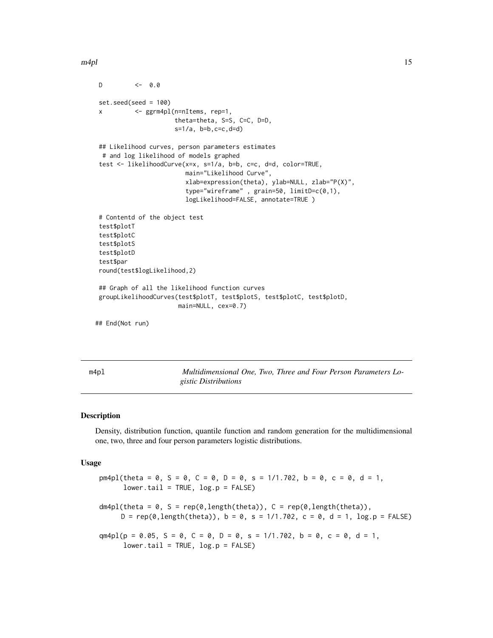<span id="page-14-0"></span> $m4pl$  15

```
D \left( -0.0 \right)set.seed(seed = 100)
x <- ggrm4pl(n=nItems, rep=1,
                      theta=theta, S=S, C=C, D=D,
                      s=1/a, b=b,c=c,d=d)
## Likelihood curves, person parameters estimates
 # and log likelihood of models graphed
test <- likelihoodCurve(x=x, s=1/a, b=b, c=c, d=d, color=TRUE,
                        main="Likelihood Curve",
                        xlab=expression(theta), ylab=NULL, zlab="P(X)",
                         type="wireframe" , grain=50, limitD=c(0,1),
                         logLikelihood=FALSE, annotate=TRUE )
# Contentd of the object test
test$plotT
test$plotC
test$plotS
test$plotD
test$par
round(test$logLikelihood,2)
## Graph of all the likelihood function curves
groupLikelihoodCurves(test$plotT, test$plotS, test$plotC, test$plotD,
                       main=NULL, cex=0.7)
## End(Not run)
```
m4pl *Multidimensional One, Two, Three and Four Person Parameters Logistic Distributions*

#### Description

Density, distribution function, quantile function and random generation for the multidimensional one, two, three and four person parameters logistic distributions.

#### Usage

```
pm4pl(theta = 0, S = 0, C = 0, D = 0, s = 1/1.702, b = 0, c = 0, d = 1,
      lower.tail = TRUE, log.p = FALSE)dm4pl(theta = 0, S = rep(0,length(theta)), C = rep(0,length(theta)),
     D = rep(0, length(theta)), b = 0, s = 1/1.702, c = 0, d = 1, log.p = FALSE)qm4pl(p = 0.05, S = 0, C = 0, D = 0, s = 1/1.702, b = 0, c = 0, d = 1,
      lower.tail = TRUE, log.p = FALSE)
```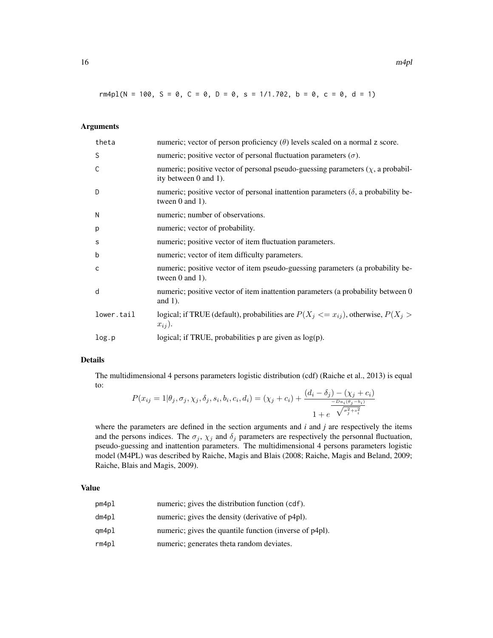rm4pl(N = 100, S = 0, C = 0, D = 0, s = 1/1.702, b = 0, c = 0, d = 1)

# Arguments

| theta      | numeric; vector of person proficiency $(\theta)$ levels scaled on a normal z score.                                          |
|------------|------------------------------------------------------------------------------------------------------------------------------|
| S          | numeric; positive vector of personal fluctuation parameters $(\sigma)$ .                                                     |
| C          | numeric; positive vector of personal pseudo-guessing parameters $(\chi, a \text{ probabil} - \chi)$<br>ity between 0 and 1). |
| D          | numeric; positive vector of personal inattention parameters $(\delta)$ , a probability be-<br>tween $0$ and $1$ ).           |
| N          | numeric; number of observations.                                                                                             |
| p          | numeric; vector of probability.                                                                                              |
| s          | numeric; positive vector of item fluctuation parameters.                                                                     |
| b          | numeric; vector of item difficulty parameters.                                                                               |
| C          | numeric; positive vector of item pseudo-guessing parameters (a probability be-<br>tween $0$ and $1$ ).                       |
| d          | numeric; positive vector of item inattention parameters (a probability between 0<br>and $1$ ).                               |
| lower.tail | logical; if TRUE (default), probabilities are $P(X_j \leq x_{ij})$ , otherwise, $P(X_j >$<br>$x_{ij}$ .                      |
| log.p      | logical; if TRUE, probabilities $p$ are given as $log(p)$ .                                                                  |

# Details

The multidimensional 4 persons parameters logistic distribution (cdf) (Raiche et al., 2013) is equal to:

$$
P(x_{ij} = 1 | \theta_j, \sigma_j, \chi_j, \delta_j, s_i, b_i, c_i, d_i) = (\chi_j + c_i) + \frac{(d_i - \delta_j) - (\chi_j + c_i)}{\frac{-D a_i(\theta_j - b_i)}{2}}}{1 + e^{-\sqrt{\sigma_j^2 + s_i^2}}}
$$

where the parameters are defined in the section arguments and *i* and *j* are respectively the items and the persons indices. The  $\sigma_j$ ,  $\chi_j$  and  $\delta_j$  parameters are respectively the personnal fluctuation, pseudo-guessing and inattention parameters. The multidimensional 4 persons parameters logistic model (M4PL) was described by Raiche, Magis and Blais (2008; Raiche, Magis and Beland, 2009; Raiche, Blais and Magis, 2009).

#### Value

| pm4pl | numeric; gives the distribution function (cdf).         |
|-------|---------------------------------------------------------|
| dm4pl | numeric; gives the density (derivative of p4pl).        |
| qm4pl | numeric; gives the quantile function (inverse of p4pl). |
| rm4pl | numeric; generates theta random deviates.               |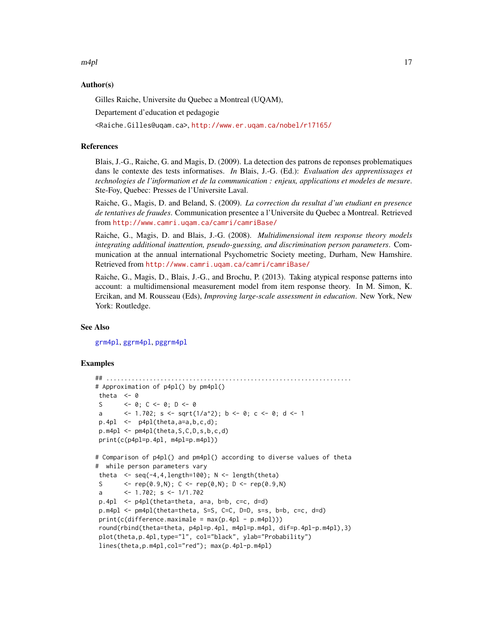<span id="page-16-0"></span> $m4pl$  17

### Author(s)

Gilles Raiche, Universite du Quebec a Montreal (UQAM),

Departement d'education et pedagogie

<Raiche.Gilles@uqam.ca>, <http://www.er.uqam.ca/nobel/r17165/>

#### References

Blais, J.-G., Raiche, G. and Magis, D. (2009). La detection des patrons de reponses problematiques dans le contexte des tests informatises. *In* Blais, J.-G. (Ed.): *Evaluation des apprentissages et technologies de l'information et de la communication : enjeux, applications et modeles de mesure*. Ste-Foy, Quebec: Presses de l'Universite Laval.

Raiche, G., Magis, D. and Beland, S. (2009). *La correction du resultat d'un etudiant en presence de tentatives de fraudes*. Communication presentee a l'Universite du Quebec a Montreal. Retrieved from <http://www.camri.uqam.ca/camri/camriBase/>

Raiche, G., Magis, D. and Blais, J.-G. (2008). *Multidimensional item response theory models integrating additional inattention, pseudo-guessing, and discrimination person parameters*. Communication at the annual international Psychometric Society meeting, Durham, New Hamshire. Retrieved from <http://www.camri.uqam.ca/camri/camriBase/>

Raiche, G., Magis, D., Blais, J.-G., and Brochu, P. (2013). Taking atypical response patterns into account: a multidimensional measurement model from item response theory. In M. Simon, K. Ercikan, and M. Rousseau (Eds), *Improving large-scale assessment in education*. New York, New York: Routledge.

#### See Also

[grm4pl](#page-36-1), [ggrm4pl](#page-36-1), [pggrm4pl](#page-36-1)

```
## ....................................................................
# Approximation of p4pl() by pm4pl()
theta <-0S <- 0; C <- 0; D <- 0
a <- 1.702; s <- sqrt(1/a^2); b <- 0; c <- 0; d <- 1
p.4p1 \leftarrow p4p1 (theta, a=a, b, c, d);
p.m4pl <- pm4pl(theta,S,C,D,s,b,c,d)
print(c(p4pl=p.4pl, m4pl=p.m4pl))
# Comparison of p4pl() and pm4pl() according to diverse values of theta
# while person parameters vary
theta \leq seq(-4,4, length=100); N \leq length(theta)
S \langle - \text{rep}(0.9, N); C \langle - \text{rep}(0, N); D \langle - \text{rep}(0.9, N) \ranglea <- 1.702; s <- 1/1.702
p.4pl <- p4pl(theta=theta, a=a, b=b, c=c, d=d)
p.m4pl <- pm4pl(theta=theta, S=S, C=C, D=D, s=s, b=b, c=c, d=d)
print(c(difference.maximale = max(p.4pl - p.m4pl)))round(rbind(theta=theta, p4pl=p.4pl, m4pl=p.m4pl, dif=p.4pl-p.m4pl),3)
plot(theta,p.4pl,type="l", col="black", ylab="Probability")
lines(theta,p.m4pl,col="red"); max(p.4pl-p.m4pl)
```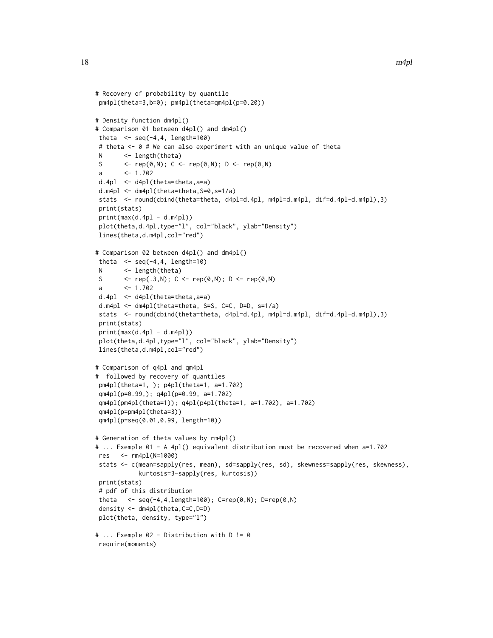```
# Recovery of probability by quantile
pm4pl(theta=3,b=0); pm4pl(theta=qm4pl(p=0.20))
# Density function dm4pl()
# Comparison 01 between d4pl() and dm4pl()
theta \leq seq(-4,4, length=100)
# theta <- 0 # We can also experiment with an unique value of theta
N <- length(theta)
S \langle - \text{rep}(\emptyset, N); \ C \langle - \text{rep}(\emptyset, N); \ D \langle - \text{rep}(\emptyset, N) \ranglea <- 1.702
d.4pl <- d4pl(theta=theta,a=a)
d.m4pl <- dm4pl(theta=theta,S=0,s=1/a)
stats <- round(cbind(theta=theta, d4pl=d.4pl, m4pl=d.m4pl, dif=d.4pl-d.m4pl),3)
print(stats)
print(max(d.4pl - d.m4pl))plot(theta,d.4pl,type="l", col="black", ylab="Density")
lines(theta,d.m4pl,col="red")
# Comparison 02 between d4pl() and dm4pl()
theta \leq seq(-4,4, length=10)
N <- length(theta)
S <- rep(.3,N); C <- rep(0,N); D <- rep(0,N)
a <- 1.702
d.4pl <- d4pl(theta=theta,a=a)
d.m4pl <- dm4pl(theta=theta, S=S, C=C, D=D, s=1/a)
stats <- round(cbind(theta=theta, d4pl=d.4pl, m4pl=d.m4pl, dif=d.4pl-d.m4pl),3)
print(stats)
print(max(d.4pl - d.m4pl))
plot(theta,d.4pl,type="l", col="black", ylab="Density")
lines(theta,d.m4pl,col="red")
# Comparison of q4pl and qm4pl
# followed by recovery of quantiles
pm4pl(theta=1, ); p4pl(theta=1, a=1.702)
qm4pl(p=0.99,); q4pl(p=0.99, a=1.702)
qm4pl(pm4pl(theta=1)); q4pl(p4pl(theta=1, a=1.702), a=1.702)
qm4pl(p=pm4pl(theta=3))
qm4pl(p=seq(0.01,0.99, length=10))
# Generation of theta values by rm4pl()
# ... Exemple 01 - A 4pl() equivalent distribution must be recovered when a=1.702
res <- rm4pl(N=1000)
stats <- c(mean=sapply(res, mean), sd=sapply(res, sd), skewness=sapply(res, skewness),
            kurtosis=3-sapply(res, kurtosis))
print(stats)
# pdf of this distribution
theta \leq seq(-4,4,length=100); C=rep(0,N); D=rep(0,N)
density <- dm4pl(theta,C=C,D=D)
plot(theta, density, type="l")
# ... Exemple 02 - Distribution with D != 0
require(moments)
```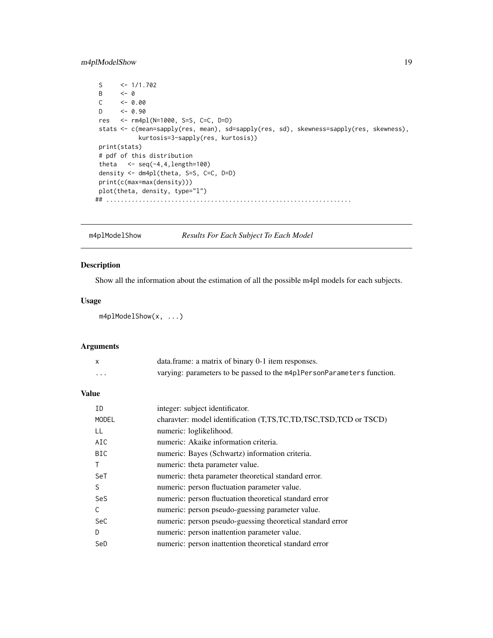# <span id="page-18-0"></span>m4plModelShow 19

```
S \leq -1/1.702B \leftarrow \ThetaC \leftarrow 0.00<br>D \leftarrow 0.90<-0.90res <- rm4pl(N=1000, S=S, C=C, D=D)
stats <- c(mean=sapply(res, mean), sd=sapply(res, sd), skewness=sapply(res, skewness),
             kurtosis=3-sapply(res, kurtosis))
print(stats)
# pdf of this distribution
theta \langle -\text{seq}(-4,4,\text{length}=100)\rangledensity <- dm4pl(theta, S=S, C=C, D=D)
print(c(max=max(density)))
plot(theta, density, type="l")
## ....................................................................
```
<span id="page-18-1"></span>m4plModelShow *Results For Each Subject To Each Model*

# Description

Show all the information about the estimation of all the possible m4pl models for each subjects.

# Usage

```
m4plModelShow(x, ...)
```
# Arguments

|   | data.frame: a matrix of binary 0-1 item responses.                     |
|---|------------------------------------------------------------------------|
| . | varying: parameters to be passed to the m4p1PersonParameters function. |

# Value

| ID           | integer: subject identificator.                                  |
|--------------|------------------------------------------------------------------|
| <b>MODEL</b> | charavter: model identification (T,TS,TC,TD,TSC,TSD,TCD or TSCD) |
| LL           | numeric: loglikelihood.                                          |
| AIC          | numeric: Akaike information criteria.                            |
| <b>BIC</b>   | numeric: Bayes (Schwartz) information criteria.                  |
|              | numeric: theta parameter value.                                  |
| SeT          | numeric: theta parameter theoretical standard error.             |
| S            | numeric: person fluctuation parameter value.                     |
| SeS          | numeric: person fluctuation theoretical standard error           |
| C.           | numeric: person pseudo-guessing parameter value.                 |
| SeC          | numeric: person pseudo-guessing theoretical standard error       |
| D            | numeric: person inattention parameter value.                     |
| SeD          | numeric: person inattention theoretical standard error           |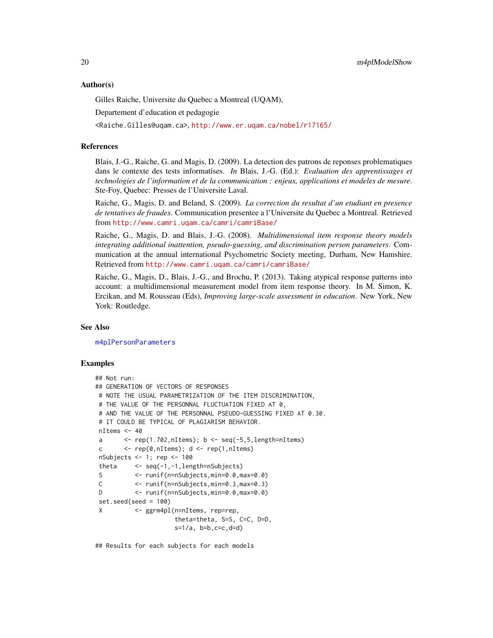#### <span id="page-19-0"></span>Author(s)

Gilles Raiche, Universite du Quebec a Montreal (UQAM),

Departement d'education et pedagogie

<Raiche.Gilles@uqam.ca>, <http://www.er.uqam.ca/nobel/r17165/>

#### References

Blais, J.-G., Raiche, G. and Magis, D. (2009). La detection des patrons de reponses problematiques dans le contexte des tests informatises. *In* Blais, J.-G. (Ed.): *Evaluation des apprentissages et technologies de l'information et de la communication : enjeux, applications et modeles de mesure*. Ste-Foy, Quebec: Presses de l'Universite Laval.

Raiche, G., Magis, D. and Beland, S. (2009). *La correction du resultat d'un etudiant en presence de tentatives de fraudes*. Communication presentee a l'Universite du Quebec a Montreal. Retrieved from <http://www.camri.uqam.ca/camri/camriBase/>

Raiche, G., Magis, D. and Blais, J.-G. (2008). *Multidimensional item response theory models integrating additional inattention, pseudo-guessing, and discrimination person parameters*. Communication at the annual international Psychometric Society meeting, Durham, New Hamshire. Retrieved from <http://www.camri.uqam.ca/camri/camriBase/>

Raiche, G., Magis, D., Blais, J.-G., and Brochu, P. (2013). Taking atypical response patterns into account: a multidimensional measurement model from item response theory. In M. Simon, K. Ercikan, and M. Rousseau (Eds), *Improving large-scale assessment in education*. New York, New York: Routledge.

#### See Also

[m4plPersonParameters](#page-29-1)

#### Examples

```
## Not run:
## GENERATION OF VECTORS OF RESPONSES
# NOTE THE USUAL PARAMETRIZATION OF THE ITEM DISCRIMINATION,
# THE VALUE OF THE PERSONNAL FLUCTUATION FIXED AT 0,
# AND THE VALUE OF THE PERSONNAL PSEUDO-GUESSING FIXED AT 0.30.
# IT COULD BE TYPICAL OF PLAGIARISM BEHAVIOR.
nItems <- 40
a \leq rep(1.702,nItems); b \leq seq(-5,5,length=nItems)
c \langle -\text{rep}(\emptyset, \text{nItems})\rangle; d \langle -\text{rep}(1, \text{nItems})\ranglenSubjects <- 1; rep <- 100
theta <- seq(-1,-1,length=nSubjects)
S <- runif(n=nSubjects,min=0.0,max=0.0)
C <- runif(n=nSubjects,min=0.3,max=0.3)
D <- runif(n=nSubjects,min=0.0,max=0.0)
set.seed(seed = 100)
X <- ggrm4pl(n=nItems, rep=rep,
                      theta=theta, S=S, C=C, D=D,
                      s=1/a, b=b, c=c, d=d)
```
## Results for each subjects for each models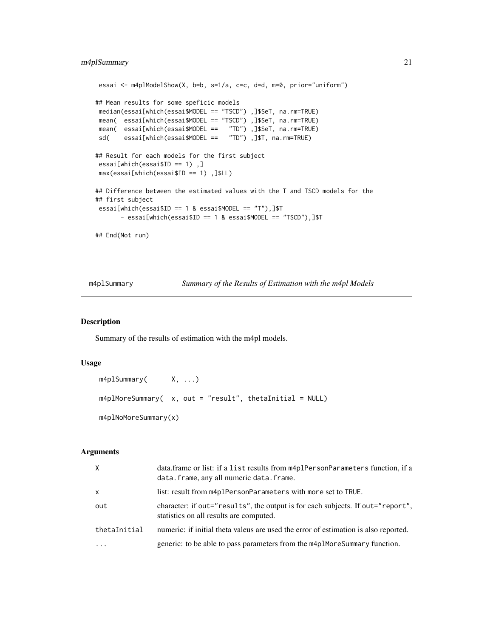```
essai <- m4plModelShow(X, b=b, s=1/a, c=c, d=d, m=0, prior="uniform")
## Mean results for some speficic models
median(essai[which(essai$MODEL == "TSCD") ,]$SeT, na.rm=TRUE)
mean( essai[which(essai$MODEL == "TSCD") ,]$SeT, na.rm=TRUE)
mean( essai[which(essai$MODEL == "TD") ,]$SeT, na.rm=TRUE)
sd( essai[which(essai$MODEL == "TD") ,]$T, na.rm=TRUE)
## Result for each models for the first subject
essai[which(essai$ID == 1) ,]
max(essai[which(essai$ID == 1) ,]$LL)
## Difference between the estimated values with the T and TSCD models for the
## first subject
essai[which(essai$ID == 1 & essai$MODEL == "T"),]$T
      - essai[which(essai$ID == 1 & essai$MODEL == "TSCD"),]$T
## End(Not run)
```
m4plSummary *Summary of the Results of Estimation with the m4pl Models*

#### Description

Summary of the results of estimation with the m4pl models.

### Usage

```
m4plSummary( X, ...)
m4plMoreSummary( x, out = "result", thetaInitial = NULL)
m4plNoMoreSummary(x)
```
# Arguments

| $\times$     | data.frame or list: if a list results from m4plPersonParameters function, if a<br>data.frame, any all numeric data.frame. |
|--------------|---------------------------------------------------------------------------------------------------------------------------|
| $\mathsf{x}$ | list: result from m4plPersonParameters with more set to TRUE.                                                             |
| out          | character: if out="results", the output is for each subjects. If out="report",<br>statistics on all results are computed. |
| thetaInitial | numeric: if initial theta valeus are used the error of estimation is also reported.                                       |
| $\cdots$     | generic: to be able to pass parameters from the m4p1MoreSummary function.                                                 |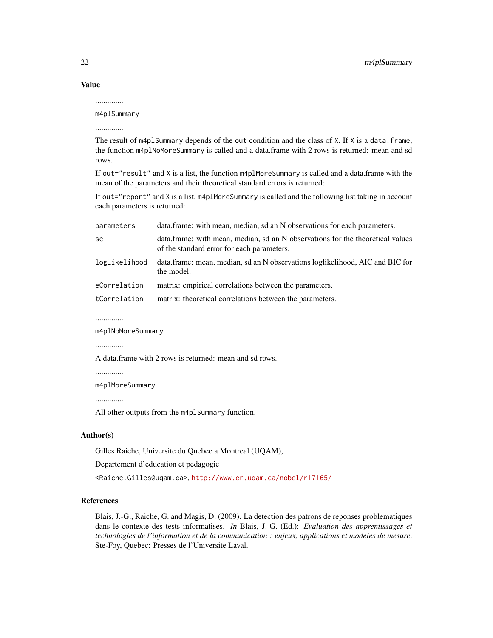Value

..............

m4plSummary ..............

The result of m4plSummary depends of the out condition and the class of X. If X is a data.frame, the function m4plNoMoreSummary is called and a data.frame with 2 rows is returned: mean and sd rows.

If out="result" and X is a list, the function m4plMoreSummary is called and a data.frame with the mean of the parameters and their theoretical standard errors is returned:

If out="report" and X is a list, m4plMoreSummary is called and the following list taking in account each parameters is returned:

| parameters    | data.frame: with mean, median, sd an N observations for each parameters.                                                     |
|---------------|------------------------------------------------------------------------------------------------------------------------------|
| se            | data.frame: with mean, median, sd an N observations for the theoretical values<br>of the standard error for each parameters. |
| logLikelihood | data.frame: mean, median, sd an N observations loglikelihood, AIC and BIC for<br>the model.                                  |
| eCorrelation  | matrix: empirical correlations between the parameters.                                                                       |
| tCorrelation  | matrix: theoretical correlations between the parameters.                                                                     |

..............

m4plNoMoreSummary

..............

A data.frame with 2 rows is returned: mean and sd rows.

..............

m4plMoreSummary

..............

All other outputs from the m4plSummary function.

#### Author(s)

Gilles Raiche, Universite du Quebec a Montreal (UQAM),

Departement d'education et pedagogie

<Raiche.Gilles@uqam.ca>, <http://www.er.uqam.ca/nobel/r17165/>

### References

Blais, J.-G., Raiche, G. and Magis, D. (2009). La detection des patrons de reponses problematiques dans le contexte des tests informatises. *In* Blais, J.-G. (Ed.): *Evaluation des apprentissages et technologies de l'information et de la communication : enjeux, applications et modeles de mesure*. Ste-Foy, Quebec: Presses de l'Universite Laval.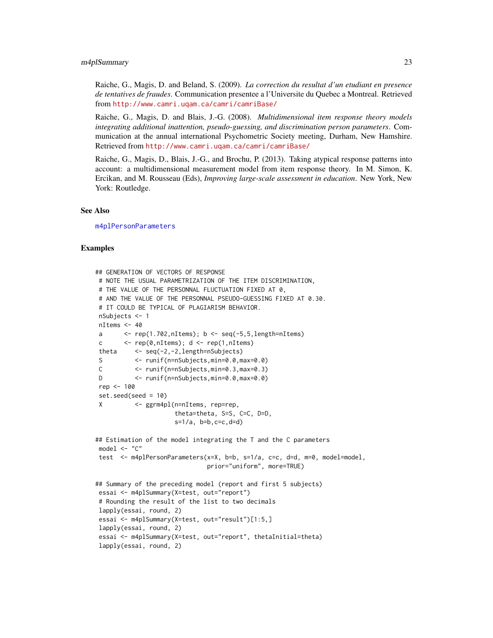#### <span id="page-22-0"></span>m4plSummary 23

Raiche, G., Magis, D. and Beland, S. (2009). *La correction du resultat d'un etudiant en presence de tentatives de fraudes*. Communication presentee a l'Universite du Quebec a Montreal. Retrieved from <http://www.camri.uqam.ca/camri/camriBase/>

Raiche, G., Magis, D. and Blais, J.-G. (2008). *Multidimensional item response theory models integrating additional inattention, pseudo-guessing, and discrimination person parameters*. Communication at the annual international Psychometric Society meeting, Durham, New Hamshire. Retrieved from <http://www.camri.uqam.ca/camri/camriBase/>

Raiche, G., Magis, D., Blais, J.-G., and Brochu, P. (2013). Taking atypical response patterns into account: a multidimensional measurement model from item response theory. In M. Simon, K. Ercikan, and M. Rousseau (Eds), *Improving large-scale assessment in education*. New York, New York: Routledge.

#### See Also

[m4plPersonParameters](#page-29-1)

```
## GENERATION OF VECTORS OF RESPONSE
# NOTE THE USUAL PARAMETRIZATION OF THE ITEM DISCRIMINATION,
# THE VALUE OF THE PERSONNAL FLUCTUATION FIXED AT 0,
# AND THE VALUE OF THE PERSONNAL PSEUDO-GUESSING FIXED AT 0.30.
# IT COULD BE TYPICAL OF PLAGIARISM BEHAVIOR.
nSubjects <- 1
nItems <- 40
a \leq rep(1.702, nItems); b \leq seq(-5, 5, length=nItems)
c \langle - rep(0,nItems); d \langle - rep(1,nItems)
theta <- seq(-2,-2,length=nSubjects)
S <- runif(n=nSubjects,min=0.0,max=0.0)
C <- runif(n=nSubjects,min=0.3,max=0.3)
D <- runif(n=nSubjects,min=0.0,max=0.0)
rep <- 100
set.seed(seed = 10)
X <- ggrm4pl(n=nItems, rep=rep,
                     theta=theta, S=S, C=C, D=D,
                     s=1/a, b=b, c=c, d=d)
## Estimation of the model integrating the T and the C parameters
model < - "C"
test <- m4plPersonParameters(x=X, b=b, s=1/a, c=c, d=d, m=0, model=model,
                              prior="uniform", more=TRUE)
## Summary of the preceding model (report and first 5 subjects)
essai <- m4plSummary(X=test, out="report")
# Rounding the result of the list to two decimals
lapply(essai, round, 2)
essai <- m4plSummary(X=test, out="result")[1:5,]
lapply(essai, round, 2)
essai <- m4plSummary(X=test, out="report", thetaInitial=theta)
lapply(essai, round, 2)
```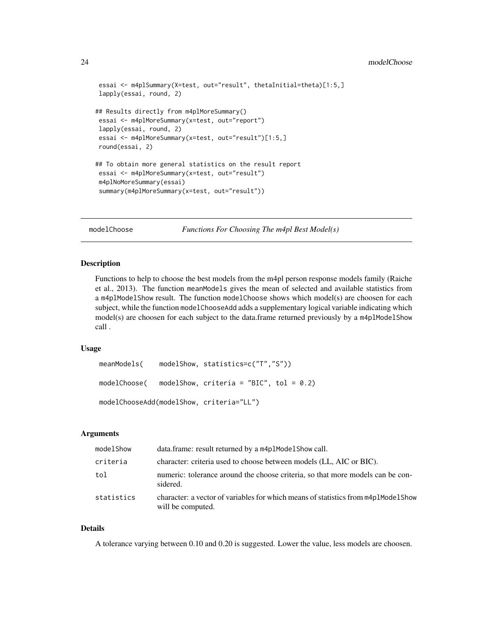#### <span id="page-23-0"></span>24 modelChoose

```
essai <- m4plSummary(X=test, out="result", thetaInitial=theta)[1:5,]
lapply(essai, round, 2)
## Results directly from m4plMoreSummary()
essai <- m4plMoreSummary(x=test, out="report")
lapply(essai, round, 2)
essai <- m4plMoreSummary(x=test, out="result")[1:5,]
round(essai, 2)
## To obtain more general statistics on the result report
essai <- m4plMoreSummary(x=test, out="result")
m4plNoMoreSummary(essai)
summary(m4plMoreSummary(x=test, out="result"))
```
modelChoose *Functions For Choosing The m4pl Best Model(s)*

#### Description

Functions to help to choose the best models from the m4pl person response models family (Raiche et al., 2013). The function meanModels gives the mean of selected and available statistics from a m4plModelShow result. The function modelChoose shows which model(s) are choosen for each subject, while the function modelChooseAdd adds a supplementary logical variable indicating which model(s) are choosen for each subject to the data.frame returned previously by a m4plModelShow call .

#### Usage

```
meanModels( modelShow, statistics=c("T","S"))
modelChoose( modelShow, criteria = "BIC", tol = 0.2)
modelChooseAdd(modelShow, criteria="LL")
```
#### Arguments

| modelShow  | data.frame: result returned by a m4plModelShow call.                                                   |
|------------|--------------------------------------------------------------------------------------------------------|
| criteria   | character: criteria used to choose between models (LL, AIC or BIC).                                    |
| tol        | numeric: tolerance around the choose criteria, so that more models can be con-<br>sidered.             |
| statistics | character: a vector of variables for which means of statistics from m4p1Mode1Show<br>will be computed. |

#### Details

A tolerance varying between 0.10 and 0.20 is suggested. Lower the value, less models are choosen.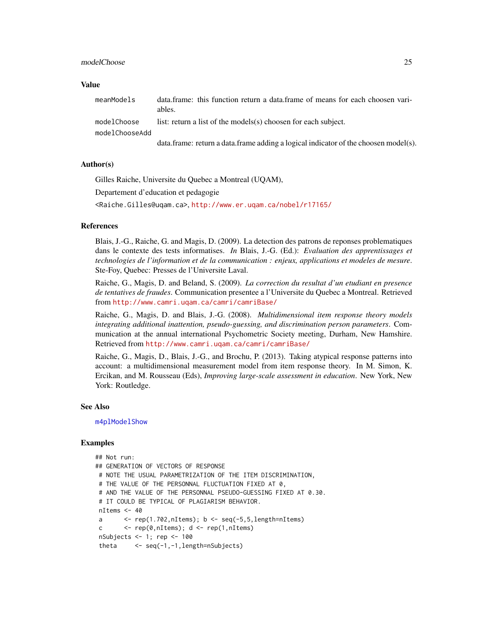#### <span id="page-24-0"></span>modelChoose 25

#### Value

| meanModels                    | data.frame: this function return a data.frame of means for each choosen vari-<br>ables. |
|-------------------------------|-----------------------------------------------------------------------------------------|
| modelChoose<br>modelChooseAdd | list: return a list of the models(s) choosen for each subject.                          |
|                               | data.frame: return a data.frame adding a logical indicator of the choosen model(s).     |

# Author(s)

Gilles Raiche, Universite du Quebec a Montreal (UQAM),

Departement d'education et pedagogie

<Raiche.Gilles@uqam.ca>, <http://www.er.uqam.ca/nobel/r17165/>

# References

Blais, J.-G., Raiche, G. and Magis, D. (2009). La detection des patrons de reponses problematiques dans le contexte des tests informatises. *In* Blais, J.-G. (Ed.): *Evaluation des apprentissages et technologies de l'information et de la communication : enjeux, applications et modeles de mesure*. Ste-Foy, Quebec: Presses de l'Universite Laval.

Raiche, G., Magis, D. and Beland, S. (2009). *La correction du resultat d'un etudiant en presence de tentatives de fraudes*. Communication presentee a l'Universite du Quebec a Montreal. Retrieved from <http://www.camri.uqam.ca/camri/camriBase/>

Raiche, G., Magis, D. and Blais, J.-G. (2008). *Multidimensional item response theory models integrating additional inattention, pseudo-guessing, and discrimination person parameters*. Communication at the annual international Psychometric Society meeting, Durham, New Hamshire. Retrieved from <http://www.camri.uqam.ca/camri/camriBase/>

Raiche, G., Magis, D., Blais, J.-G., and Brochu, P. (2013). Taking atypical response patterns into account: a multidimensional measurement model from item response theory. In M. Simon, K. Ercikan, and M. Rousseau (Eds), *Improving large-scale assessment in education*. New York, New York: Routledge.

#### See Also

[m4plModelShow](#page-18-1)

```
## Not run:
## GENERATION OF VECTORS OF RESPONSE
 # NOTE THE USUAL PARAMETRIZATION OF THE ITEM DISCRIMINATION,
 # THE VALUE OF THE PERSONNAL FLUCTUATION FIXED AT 0,
 # AND THE VALUE OF THE PERSONNAL PSEUDO-GUESSING FIXED AT 0.30.
 # IT COULD BE TYPICAL OF PLAGIARISM BEHAVIOR.
 nItems <- 40
 a \leftarrow \text{rep}(1.702, \text{nItems}); b \leftarrow \text{seq}(-5, 5, \text{length=nItems})c \leftarrow \text{rep}(\emptyset, \text{nItems}); d \leftarrow \text{rep}(1, \text{nItems})nSubjects <- 1; rep <- 100
 theta \leq seq(-1,-1, length=nSubjects)
```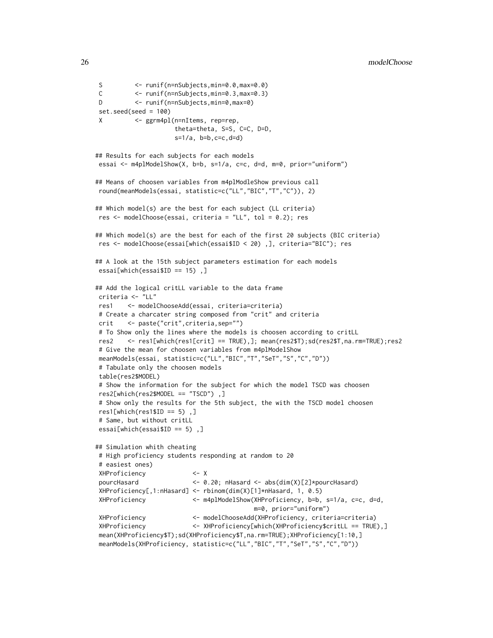```
S <- runif(n=nSubjects,min=0.0,max=0.0)
C <- runif(n=nSubjects,min=0.3,max=0.3)
D <- runif(n=nSubjects,min=0,max=0)
set.seed(seed = 100)
X <- ggrm4pl(n=nItems, rep=rep,
                    theta=theta, S=S, C=C, D=D,
                    s=1/a, b=b, c=c, d=d)
## Results for each subjects for each models
essai <- m4plModelShow(X, b=b, s=1/a, c=c, d=d, m=0, prior="uniform")
## Means of choosen variables from m4plModleShow previous call
round(meanModels(essai, statistic=c("LL","BIC","T","C")), 2)
## Which model(s) are the best for each subject (LL criteria)
res <- modelChoose(essai, criteria = "LL", tol = 0.2); res
## Which model(s) are the best for each of the first 20 subjects (BIC criteria)
res <- modelChoose(essai[which(essai$ID < 20) ,], criteria="BIC"); res
## A look at the 15th subject parameters estimation for each models
essai[which(essai$ID == 15) ,]
## Add the logical critLL variable to the data frame
criteria <- "LL"
res1 <- modelChooseAdd(essai, criteria=criteria)
# Create a charcater string composed from "crit" and criteria
crit <- paste("crit",criteria,sep="")
# To Show only the lines where the models is choosen according to critLL
res2 <- res1[which(res1[crit] == TRUE),]; mean(res2$T);sd(res2$T,na.rm=TRUE);res2
# Give the mean for choosen variables from m4plModelShow
meanModels(essai, statistic=c("LL","BIC","T","SeT","S","C","D"))
# Tabulate only the choosen models
table(res2$MODEL)
# Show the information for the subject for which the model TSCD was choosen
res2[which(res2$MODEL == "TSCD") ,]
# Show only the results for the 5th subject, the with the TSCD model choosen
res1[which(res1$ID == 5),
# Same, but without critLL
essai[which(essai$ID == 5) ,]
## Simulation whith cheating
# High proficiency students responding at random to 20
# easiest ones)
XHProficiency <- X
pourcHasard <- 0.20; nHasard <- abs(dim(X)[2]*pourcHasard)
XHProficiency[,1:nHasard] <- rbinom(dim(X)[1]*nHasard, 1, 0.5)
XHProficiency <- m4plModelShow(XHProficiency, b=b, s=1/a, c=c, d=d,
                                          m=0, prior="uniform")
XHProficiency <- modelChooseAdd(XHProficiency, criteria=criteria)
XHProficiency <- XHProficiency[which(XHProficiency$critLL == TRUE),]
mean(XHProficiency$T);sd(XHProficiency$T,na.rm=TRUE);XHProficiency[1:10,]
meanModels(XHProficiency, statistic=c("LL","BIC","T","SeT","S","C","D"))
```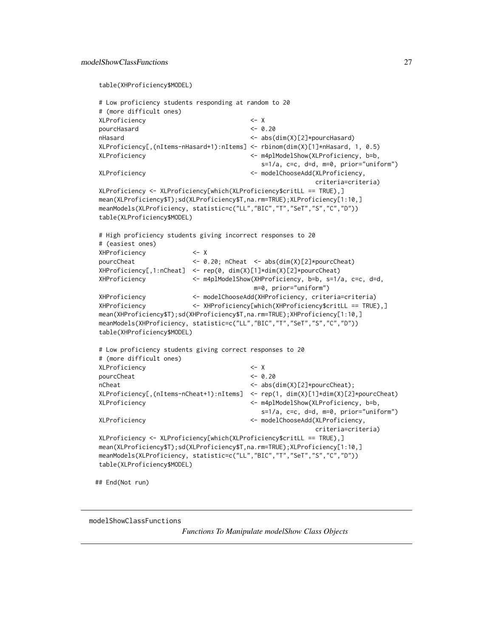```
table(XHProficiency$MODEL)
```

```
# Low proficiency students responding at random to 20
# (more difficult ones)
XLProficiency <- X
pourcHasard <- 0.20
nHasard <- abs(dim(X)[2]*pourcHasard)
XLProficiency[,(nItems-nHasard+1):nItems] <- rbinom(dim(X)[1]*nHasard, 1, 0.5)
XLProficiency <- m4plModelShow(XLProficiency, b=b,
                                      s=1/a, c=c, d=d, m=0, prior="uniform")
XLProficiency <- modelChooseAdd(XLProficiency,
                                                   criteria=criteria)
XLProficiency <- XLProficiency[which(XLProficiency$critLL == TRUE),]
mean(XLProficiency$T);sd(XLProficiency$T,na.rm=TRUE);XLProficiency[1:10,]
meanModels(XLProficiency, statistic=c("LL","BIC","T","SeT","S","C","D"))
table(XLProficiency$MODEL)
# High proficiency students giving incorrect responses to 20
# (easiest ones)
XHProficiency <- X
pourcCheat <- 0.20; nCheat <- abs(dim(X)[2]*pourcCheat)
XHProficiency[,1:nCheat] <- rep(0, dim(X)[1]*dim(X)[2]*pourcCheat)
XHProficiency <- m4plModelShow(XHProficiency, b=b, s=1/a, c=c, d=d,
                                    m=0, prior="uniform")
XHProficiency <- modelChooseAdd(XHProficiency, criteria=criteria)
XHProficiency <- XHProficiency[which(XHProficiency$critLL == TRUE),]
mean(XHProficiency$T);sd(XHProficiency$T,na.rm=TRUE);XHProficiency[1:10,]
meanModels(XHProficiency, statistic=c("LL","BIC","T","SeT","S","C","D"))
table(XHProficiency$MODEL)
# Low proficiency students giving correct responses to 20
# (more difficult ones)
XLProficiency <- X
pourcCheat <- 0.20
nCheat \langle -\text{abs}(\text{dim}(X)[2]\times\text{pourcCheck})\rangle;
XLProficiency[,(nItems-nCheat+1):nItems] <- rep(1, dim(X)[1]*dim(X)[2]*pourcCheat)
XLProficiency <- m4plModelShow(XLProficiency, b=b,
                                      s=1/a, c=c, d=d, m=0, prior="uniform")
XLProficiency <- modelChooseAdd(XLProficiency,
                                                   criteria=criteria)
XLProficiency <- XLProficiency[which(XLProficiency$critLL == TRUE),]
mean(XLProficiency$T);sd(XLProficiency$T,na.rm=TRUE);XLProficiency[1:10,]
meanModels(XLProficiency, statistic=c("LL","BIC","T","SeT","S","C","D"))
table(XLProficiency$MODEL)
```
## End(Not run)

modelShowClassFunctions

*Functions To Manipulate modelShow Class Objects*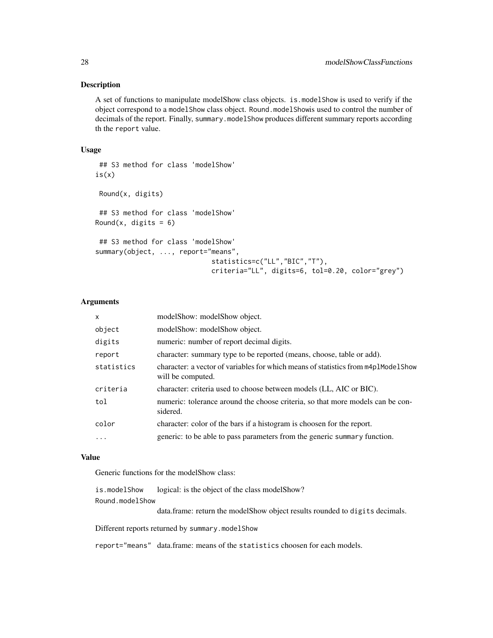#### Description

A set of functions to manipulate modelShow class objects. is.modelShow is used to verify if the object correspond to a modelShow class object. Round.modelShowis used to control the number of decimals of the report. Finally, summary.modelShow produces different summary reports according th the report value.

### Usage

```
## S3 method for class 'modelShow'
is(x)Round(x, digits)
## S3 method for class 'modelShow'
Round(x, digits = 6)
## S3 method for class 'modelShow'
summary(object, ..., report="means",
                             statistics=c("LL","BIC","T"),
                             criteria="LL", digits=6, tol=0.20, color="grey")
```
#### Arguments

| $\mathsf{x}$ | modelShow: modelShow object.                                                                           |
|--------------|--------------------------------------------------------------------------------------------------------|
| object       | modelShow: modelShow object.                                                                           |
| digits       | numeric: number of report decimal digits.                                                              |
| report       | character: summary type to be reported (means, choose, table or add).                                  |
| statistics   | character: a vector of variables for which means of statistics from m4p1Mode1Show<br>will be computed. |
| criteria     | character: criteria used to choose between models (LL, AIC or BIC).                                    |
| tol          | numeric: tolerance around the choose criteria, so that more models can be con-<br>sidered.             |
| color        | character: color of the bars if a histogram is choosen for the report.                                 |
| $\ddots$ .   | generic: to be able to pass parameters from the generic summary function.                              |
|              |                                                                                                        |

# Value

Generic functions for the modelShow class:

is.modelShow logical: is the object of the class modelShow? Round.modelShow

data.frame: return the modelShow object results rounded to digits decimals.

Different reports returned by summary.modelShow

report="means" data.frame: means of the statistics choosen for each models.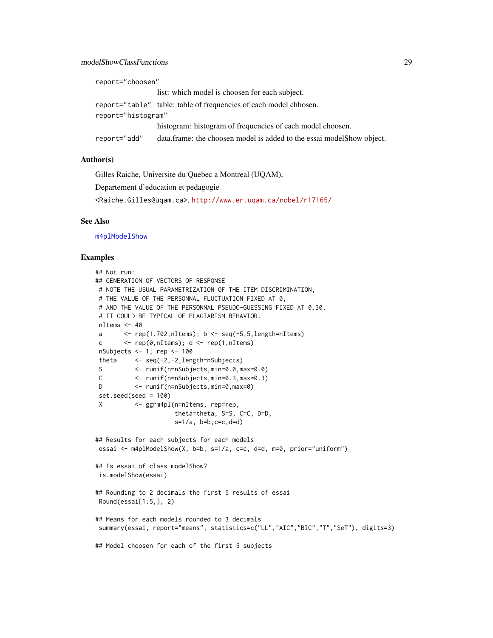<span id="page-28-0"></span>

| report="choosen"   |                                                                        |  |
|--------------------|------------------------------------------------------------------------|--|
|                    | list: which model is choosen for each subject.                         |  |
|                    | report="table" table: table of frequencies of each model chhosen.      |  |
| report="histogram" |                                                                        |  |
|                    | histogram: histogram of frequencies of each model choosen.             |  |
| report="add"       | data.frame: the choosen model is added to the essai model Show object. |  |

# Author(s)

Gilles Raiche, Universite du Quebec a Montreal (UQAM),

Departement d'education et pedagogie

<Raiche.Gilles@uqam.ca>, <http://www.er.uqam.ca/nobel/r17165/>

#### See Also

[m4plModelShow](#page-18-1)

```
## Not run:
## GENERATION OF VECTORS OF RESPONSE
# NOTE THE USUAL PARAMETRIZATION OF THE ITEM DISCRIMINATION,
# THE VALUE OF THE PERSONNAL FLUCTUATION FIXED AT 0,
# AND THE VALUE OF THE PERSONNAL PSEUDO-GUESSING FIXED AT 0.30.
# IT COULD BE TYPICAL OF PLAGIARISM BEHAVIOR.
nItems <- 40
a \leq rep(1.702, nItems); b \leq seq(-5, 5, length=nItems)
c \leftarrow \text{rep}(\emptyset, \text{nItems}); d \leftarrow \text{rep}(1, \text{nItems})nSubjects <- 1; rep <- 100
theta <- seq(-2,-2,length=nSubjects)
S <- runif(n=nSubjects,min=0.0,max=0.0)
C <- runif(n=nSubjects,min=0.3,max=0.3)
D <- runif(n=nSubjects,min=0,max=0)
set.seed(seed = 100)
X <- ggrm4pl(n=nItems, rep=rep,
                      theta=theta, S=S, C=C, D=D,
                      s=1/a, b=b, c=c, d=d)
## Results for each subjects for each models
essai <- m4plModelShow(X, b=b, s=1/a, c=c, d=d, m=0, prior="uniform")
## Is essai of class modelShow?
is.modelShow(essai)
## Rounding to 2 decimals the first 5 results of essai
Round(essai[1:5,], 2)
## Means for each models rounded to 3 decimals
summary(essai, report="means", statistics=c("LL","AIC","BIC","T","SeT"), digits=3)
## Model choosen for each of the first 5 subjects
```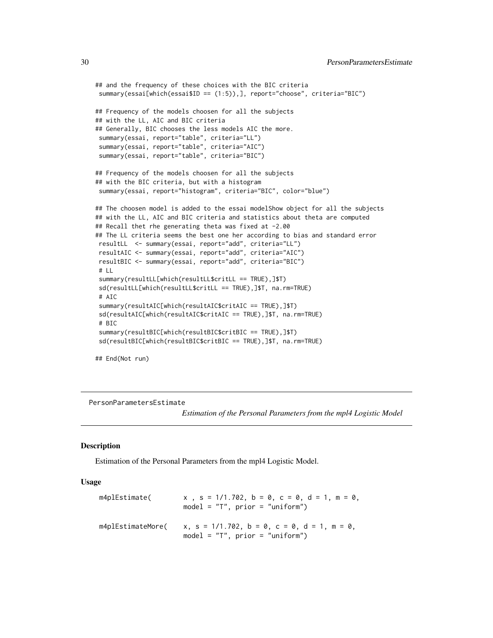```
## and the frequency of these choices with the BIC criteria
summary(essai[which(essai$ID == (1:5)),], report="choose", criteria="BIC")
## Frequency of the models choosen for all the subjects
## with the LL, AIC and BIC criteria
## Generally, BIC chooses the less models AIC the more.
summary(essai, report="table", criteria="LL")
summary(essai, report="table", criteria="AIC")
summary(essai, report="table", criteria="BIC")
## Frequency of the models choosen for all the subjects
## with the BIC criteria, but with a histogram
summary(essai, report="histogram", criteria="BIC", color="blue")
## The choosen model is added to the essai modelShow object for all the subjects
## with the LL, AIC and BIC criteria and statistics about theta are computed
## Recall thet rhe generating theta was fixed at -2.00
## The LL criteria seems the best one her according to bias and standard error
resultLL <- summary(essai, report="add", criteria="LL")
resultAIC <- summary(essai, report="add", criteria="AIC")
resultBIC <- summary(essai, report="add", criteria="BIC")
# LL
summary(resultLL[which(resultLL$critLL == TRUE),]$T)
sd(resultLL[which(resultLL$critLL == TRUE),]$T, na.rm=TRUE)
# AIC
summary(resultAIC[which(resultAIC$critAIC == TRUE),]$T)
sd(resultAIC[which(resultAIC$critAIC == TRUE),]$T, na.rm=TRUE)
# BIC
summary(resultBIC[which(resultBIC$critBIC == TRUE),]$T)
sd(resultBIC[which(resultBIC$critBIC == TRUE),]$T, na.rm=TRUE)
## End(Not run)
```
PersonParametersEstimate

*Estimation of the Personal Parameters from the mpl4 Logistic Model*

#### <span id="page-29-1"></span>Description

Estimation of the Personal Parameters from the mpl4 Logistic Model.

#### Usage

```
m4plEstimate( x, s = 1/1.702, b = 0, c = 0, d = 1, m = 0,
                   model = "T", prior = "uniform")m4plEstimateMore( x, s = 1/1.702, b = 0, c = 0, d = 1, m = 0,model = "T", prior = "uniform")
```
<span id="page-29-0"></span>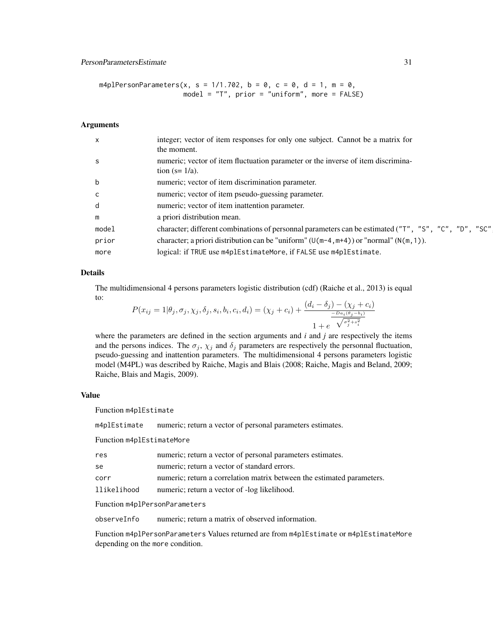# PersonParametersEstimate 31

m4plPersonParameters(x, s =  $1/1.702$ , b = 0, c = 0, d = 1, m = 0, model = "T", prior = "uniform", more = FALSE)

#### Arguments

| $\mathsf{x}$ | integer; vector of item responses for only one subject. Cannot be a matrix for<br>the moment.        |
|--------------|------------------------------------------------------------------------------------------------------|
| -S           | numeric; vector of item fluctuation parameter or the inverse of item discrimina-<br>tion $(s=1/a)$ . |
| b            | numeric; vector of item discrimination parameter.                                                    |
| C.           | numeric; vector of item pseudo-guessing parameter.                                                   |
| d            | numeric; vector of item inattention parameter.                                                       |
| m            | a priori distribution mean.                                                                          |
| model        | character; different combinations of personnal parameters can be estimated ("T", "S", "C", "D", "SC" |
| prior        | character; a priori distribution can be "uniform" $(U(m-4, m+4))$ or "normal" $(N(m, 1))$ .          |
| more         | logical: if TRUE use m4plEstimateMore, if FALSE use m4plEstimate.                                    |
|              |                                                                                                      |

#### Details

The multidimensional 4 persons parameters logistic distribution (cdf) (Raiche et al., 2013) is equal to:

$$
P(x_{ij} = 1 | \theta_j, \sigma_j, \chi_j, \delta_j, s_i, b_i, c_i, d_i) = (\chi_j + c_i) + \frac{(d_i - \delta_j) - (\chi_j + c_i)}{\frac{-D a_i(\theta_j - b_i)}{1 + e} + \sqrt{\sigma_j^2 + s_i^2}}
$$

where the parameters are defined in the section arguments and *i* and *j* are respectively the items and the persons indices. The  $\sigma_j$ ,  $\chi_j$  and  $\delta_j$  parameters are respectively the personnal fluctuation, pseudo-guessing and inattention parameters. The multidimensional 4 persons parameters logistic model (M4PL) was described by Raiche, Magis and Blais (2008; Raiche, Magis and Beland, 2009; Raiche, Blais and Magis, 2009).

#### Value

Function m4plEstimate

m4plEstimate numeric; return a vector of personal parameters estimates.

Function m4plEstimateMore

| res         | numeric; return a vector of personal parameters estimates.             |
|-------------|------------------------------------------------------------------------|
| se          | numeric; return a vector of standard errors.                           |
| corr        | numeric; return a correlation matrix between the estimated parameters. |
| llikelihood | numeric; return a vector of -log likelihood.                           |
|             |                                                                        |

Function m4plPersonParameters

observeInfo numeric; return a matrix of observed information.

Function m4plPersonParameters Values returned are from m4plEstimate or m4plEstimateMore depending on the more condition.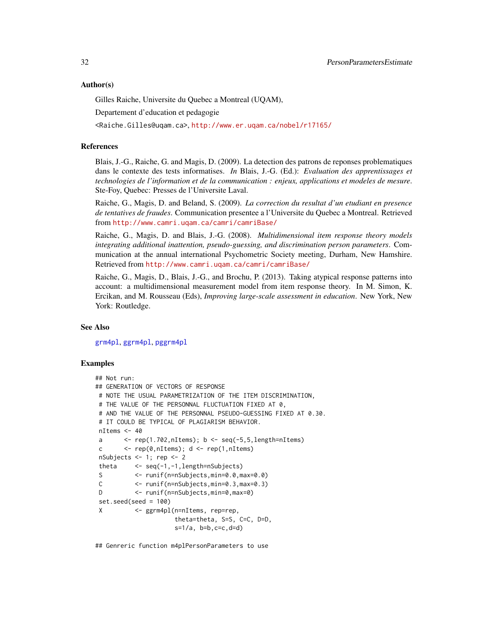#### <span id="page-31-0"></span>Author(s)

Gilles Raiche, Universite du Quebec a Montreal (UQAM),

Departement d'education et pedagogie

<Raiche.Gilles@uqam.ca>, <http://www.er.uqam.ca/nobel/r17165/>

#### References

Blais, J.-G., Raiche, G. and Magis, D. (2009). La detection des patrons de reponses problematiques dans le contexte des tests informatises. *In* Blais, J.-G. (Ed.): *Evaluation des apprentissages et technologies de l'information et de la communication : enjeux, applications et modeles de mesure*. Ste-Foy, Quebec: Presses de l'Universite Laval.

Raiche, G., Magis, D. and Beland, S. (2009). *La correction du resultat d'un etudiant en presence de tentatives de fraudes*. Communication presentee a l'Universite du Quebec a Montreal. Retrieved from <http://www.camri.uqam.ca/camri/camriBase/>

Raiche, G., Magis, D. and Blais, J.-G. (2008). *Multidimensional item response theory models integrating additional inattention, pseudo-guessing, and discrimination person parameters*. Communication at the annual international Psychometric Society meeting, Durham, New Hamshire. Retrieved from <http://www.camri.uqam.ca/camri/camriBase/>

Raiche, G., Magis, D., Blais, J.-G., and Brochu, P. (2013). Taking atypical response patterns into account: a multidimensional measurement model from item response theory. In M. Simon, K. Ercikan, and M. Rousseau (Eds), *Improving large-scale assessment in education*. New York, New York: Routledge.

#### See Also

[grm4pl](#page-36-1), [ggrm4pl](#page-36-1), [pggrm4pl](#page-36-1)

#### Examples

```
## Not run:
## GENERATION OF VECTORS OF RESPONSE
# NOTE THE USUAL PARAMETRIZATION OF THE ITEM DISCRIMINATION,
# THE VALUE OF THE PERSONNAL FLUCTUATION FIXED AT 0,
# AND THE VALUE OF THE PERSONNAL PSEUDO-GUESSING FIXED AT 0.30.
# IT COULD BE TYPICAL OF PLAGIARISM BEHAVIOR.
nItems <- 40
a \leq rep(1.702,nItems); b \leq seq(-5,5,length=nItems)
c \langle -\text{rep}(\emptyset, \text{nItems})\rangle; d \langle -\text{rep}(1, \text{nItems})\ranglenSubjects <- 1; rep <- 2
theta <- seq(-1,-1,length=nSubjects)
S <- runif(n=nSubjects,min=0.0,max=0.0)
C <- runif(n=nSubjects,min=0.3,max=0.3)
D <- runif(n=nSubjects,min=0,max=0)
set.seed(seed = 100)
X <- ggrm4pl(n=nItems, rep=rep,
                      theta=theta, S=S, C=C, D=D,
                      s=1/a, b=b,c=c,d=d)
```
## Genreric function m4plPersonParameters to use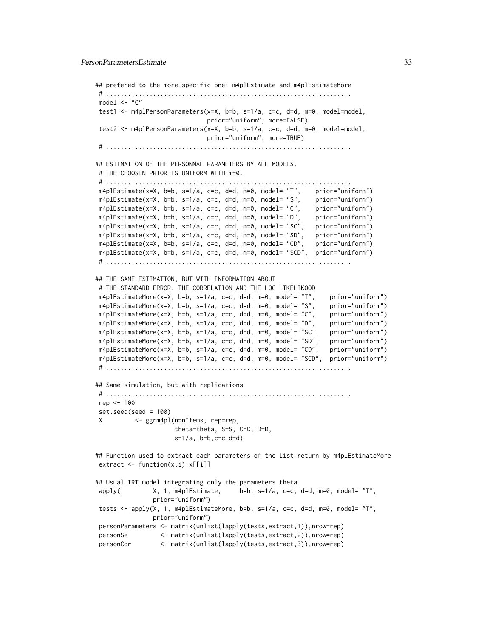```
## prefered to the more specific one: m4plEstimate and m4plEstimateMore
# ....................................................................
model <- "C"
test1 <- m4plPersonParameters(x=X, b=b, s=1/a, c=c, d=d, m=0, model=model,
                              prior="uniform", more=FALSE)
test2 <- m4plPersonParameters(x=X, b=b, s=1/a, c=c, d=d, m=0, model=model,
                             prior="uniform", more=TRUE)
# ....................................................................
## ESTIMATION OF THE PERSONNAL PARAMETERS BY ALL MODELS.
# THE CHOOSEN PRIOR IS UNIFORM WITH m=0.
# ....................................................................
m4plEstimate(x=X, b=b, s=1/a, c=c, d=d, m=0, model= "T", prior="uniform")
m4plEstimate(x=X, b=b, s=1/a, c=c, d=d, m=0, model= "S", prior="uniform")
m4plEstimate(x=X, b=b, s=1/a, c=c, d=d, m=0, model= "C", prior="uniform")
m4plEstimate(x=X, b=b, s=1/a, c=c, d=d, m=0, model= "D", prior="uniform")
m4plEstimate(x=X, b=b, s=1/a, c=c, d=d, m=0, model= "SC", prior="uniform")
m4plEstimate(x=X, b=b, s=1/a, c=c, d=d, m=0, model= "SD", prior="uniform")
m4plEstimate(x=X, b=b, s=1/a, c=c, d=d, m=0, model= "CD", prior="uniform")
m4plEstimate(x=X, b=b, s=1/a, c=c, d=d, m=0, model= "SCD", prior="uniform")
# ....................................................................
## THE SAME ESTIMATION, BUT WITH INFORMATION ABOUT
# THE STANDARD ERROR, THE CORRELATION AND THE LOG LIKELIKOOD
m4plEstimateMore(x=X, b=b, s=1/a, c=c, d=d, m=0, model= "T", prior="uniform")
m4plEstimateMore(x=X, b=b, s=1/a, c=c, d=d, m=0, model= "S", prior="uniform")
m4plEstimateMore(x=X, b=b, s=1/a, c=c, d=d, m=0, model= "C", prior="uniform")
m4plEstimateMore(x=X, b=b, s=1/a, c=c, d=d, m=0, model= "D", prior="uniform")
m4plEstimateMore(x=X, b=b, s=1/a, c=c, d=d, m=0, model= "SC", prior="uniform")
m4plEstimateMore(x=X, b=b, s=1/a, c=c, d=d, m=0, model= "SD", prior="uniform")
m4plEstimateMore(x=X, b=b, s=1/a, c=c, d=d, m=0, model= "CD", prior="uniform")
m4plEstimateMore(x=X, b=b, s=1/a, c=c, d=d, m=0, model= "SCD", prior="uniform")
# ....................................................................
## Same simulation, but with replications
# ....................................................................
rep <- 100
set.seed(seed = 100)
X <- ggrm4pl(n=nItems, rep=rep,
                     theta=theta, S=S, C=C, D=D,
                     s=1/a, b=b, c=c, d=d)
## Function used to extract each parameters of the list return by m4plEstimateMore
extract \leq function(x,i) x[[i]]
## Usual IRT model integrating only the parameters theta
apply( X, 1, m4plEstimate, b=b, s=1/a, c=c, d=d, m=0, model= "T",
               prior="uniform")
tests <- apply(X, 1, m4plEstimateMore, b=b, s=1/a, c=c, d=d, m=0, model= "T",
               prior="uniform")
personParameters <- matrix(unlist(lapply(tests,extract,1)),nrow=rep)
```
personSe <- matrix(unlist(lapply(tests,extract,2)),nrow=rep)

```
personCor <- matrix(unlist(lapply(tests,extract,3)),nrow=rep)
```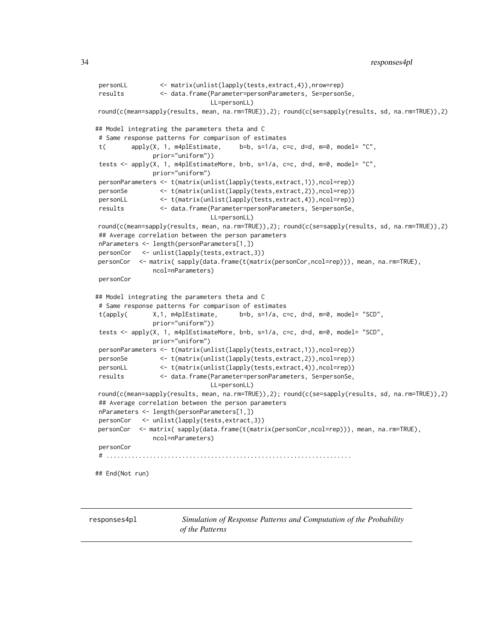```
personLL <- matrix(unlist(lapply(tests,extract,4)),nrow=rep)
results <- data.frame(Parameter=personParameters, Se=personSe,
                              LL=personLL)
round(c(mean=sapply(results, mean, na.rm=TRUE)),2); round(c(se=sapply(results, sd, na.rm=TRUE)),2)
## Model integrating the parameters theta and C
# Same response patterns for comparison of estimates
t( apply(X, 1, m4p)Estimate, b=b, s=1/a, c=c, d=d, m=0, model='C",prior="uniform"))
tests <- apply(X, 1, m4plEstimateMore, b=b, s=1/a, c=c, d=d, m=0, model= "C",
               prior="uniform")
personParameters <- t(matrix(unlist(lapply(tests,extract,1)),ncol=rep))
personSe <- t(matrix(unlist(lapply(tests,extract,2)),ncol=rep))
personLL <- t(matrix(unlist(lapply(tests,extract,4)),ncol=rep))
results <- data.frame(Parameter=personParameters, Se=personSe,
                              LL=personLL)
round(c(mean=sapply(results, mean, na.rm=TRUE)),2); round(c(se=sapply(results, sd, na.rm=TRUE)),2)
## Average correlation between the person parameters
nParameters <- length(personParameters[1,])
personCor <- unlist(lapply(tests,extract,3))
personCor <- matrix( sapply(data.frame(t(matrix(personCor,ncol=rep))), mean, na.rm=TRUE),
               ncol=nParameters)
personCor
## Model integrating the parameters theta and C
# Same response patterns for comparison of estimates
t(apply( X,1, m4plEstimate, b=b, s=1/a, c=c, d=d, m=0, model= "SCD",
               prior="uniform"))
tests <- apply(X, 1, m4plEstimateMore, b=b, s=1/a, c=c, d=d, m=0, model= "SCD",
               prior="uniform")
personParameters <- t(matrix(unlist(lapply(tests,extract,1)),ncol=rep))
personSe <- t(matrix(unlist(lapply(tests,extract,2)),ncol=rep))
personLL <- t(matrix(unlist(lapply(tests,extract,4)),ncol=rep))
results <- data.frame(Parameter=personParameters, Se=personSe,
                              LL=personLL)
round(c(mean=sapply(results, mean, na.rm=TRUE)),2); round(c(se=sapply(results, sd, na.rm=TRUE)),2)
## Average correlation between the person parameters
nParameters <- length(personParameters[1,])
personCor <- unlist(lapply(tests,extract,3))
personCor <- matrix( sapply(data.frame(t(matrix(personCor,ncol=rep))), mean, na.rm=TRUE),
               ncol=nParameters)
personCor
# ....................................................................
## End(Not run)
```
<span id="page-33-1"></span>

responses4pl *Simulation of Response Patterns and Computation of the Probability of the Patterns*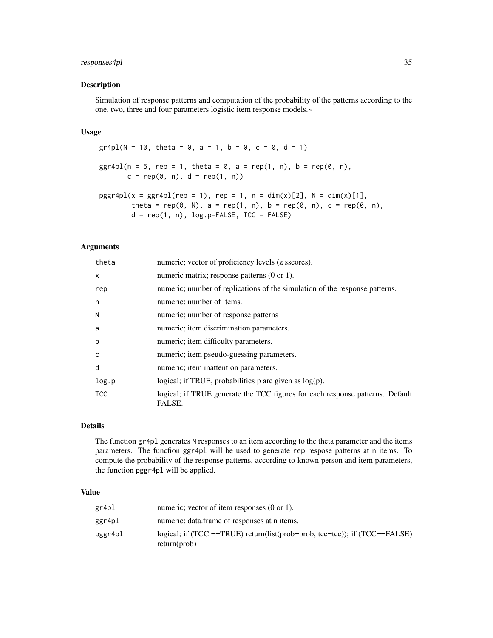# responses4pl 35

#### Description

Simulation of response patterns and computation of the probability of the patterns according to the one, two, three and four parameters logistic item response models.~

# Usage

```
gr4pl(N = 10, \text{ theta} = 0, a = 1, b = 0, c = 0, d = 1)ggr4pl(n = 5, rep = 1, theta = 0, a = rep(1, n), b = rep(0, n),c = rep(0, n), d = rep(1, n))pggr4pl(x = ggr4pl(rep = 1), rep = 1, n = dim(x)[2], N = dim(x)[1],theta = rep(0, N), a = rep(1, n), b = rep(0, n), c = rep(0, n),
        d = rep(1, n), log.p=FALSE, TCC = FALSE)
```
# Arguments

| theta        | numeric; vector of proficiency levels (z sscores).                                      |
|--------------|-----------------------------------------------------------------------------------------|
| $\mathsf{x}$ | numeric matrix; response patterns $(0 \text{ or } 1)$ .                                 |
| rep          | numeric; number of replications of the simulation of the response patterns.             |
| n            | numeric; number of items.                                                               |
| N            | numeric; number of response patterns                                                    |
| a            | numeric; item discrimination parameters.                                                |
| $\mathsf b$  | numeric; item difficulty parameters.                                                    |
| C            | numeric; item pseudo-guessing parameters.                                               |
| d            | numeric; item inattention parameters.                                                   |
| log.p        | logical; if TRUE, probabilities $p$ are given as $log(p)$ .                             |
| <b>TCC</b>   | logical; if TRUE generate the TCC figures for each response patterns. Default<br>FALSE. |

# Details

The function gr4pl generates N responses to an item according to the theta parameter and the items parameters. The funcfion ggr4pl will be used to generate rep respose patterns at n items. To compute the probability of the response patterns, according to known person and item parameters, the function pggr4pl will be applied.

### Value

| gr4pl   | numeric; vector of item responses $(0 \text{ or } 1)$ .                                          |
|---------|--------------------------------------------------------------------------------------------------|
| ggr4pl  | numeric; data.frame of responses at n items.                                                     |
| pggr4pl | logical; if $(TCC = TRUE)$ return(list(prob=prob, tcc=tcc)); if $(TCC = FALEE)$<br>return (prob) |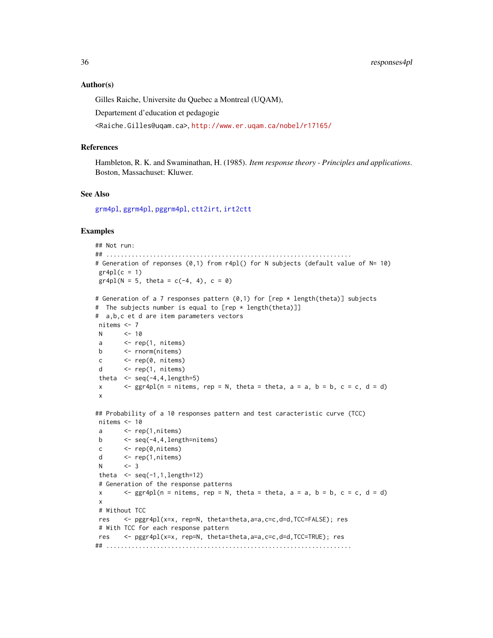#### Author(s)

Gilles Raiche, Universite du Quebec a Montreal (UQAM),

Departement d'education et pedagogie

<Raiche.Gilles@uqam.ca>, <http://www.er.uqam.ca/nobel/r17165/>

#### References

Hambleton, R. K. and Swaminathan, H. (1985). *Item response theory - Principles and applications*. Boston, Massachuset: Kluwer.

#### See Also

[grm4pl](#page-36-1), [ggrm4pl](#page-36-1), [pggrm4pl](#page-36-1), [ctt2irt](#page-6-1), [irt2ctt](#page-6-1)

```
## Not run:
## ....................................................................
# Generation of reponses (0,1) from r4pl() for N subjects (default value of N= 10)
gr4p1(c = 1)gr4pl(N = 5, theta = c(-4, 4), c = 0)# Generation of a 7 responses pattern (0,1) for [rep * length(theta)] subjects
# The subjects number is equal to [rep * length(theta)]]
# a,b,c et d are item parameters vectors
nitems <- 7
N <- 10
a \leq rep(1, nitems)
b <- rnorm(nitems)
c <- rep(0, nitems)
d \leq \text{rep}(1, \text{nitems})theta \leq seq(-4,4, length=5)
x \langle \rangle - ggr4pl(n = nitems, rep = N, theta = theta, a = a, b = b, c = c, d = d)
x
## Probability of a 10 responses pattern and test caracteristic curve (TCC)
nitems <- 10
a <- rep(1,nitems)
b \leftarrow seq(-4, 4,length=nitems)
c \langle -\text{rep}(\emptyset, \text{nitems})\rangled \leftarrow rep(1,nitems)N <- 3
theta \leq seq(-1,1,length=12)
# Generation of the response patterns
x \langle -ggr4p1(n = nitems, rep = N, theta = theta, a = a, b = b, c = c, d = d \ranglex
# Without TCC
res <- pggr4pl(x=x, rep=N, theta=theta,a=a,c=c,d=d,TCC=FALSE); res
# With TCC for each response pattern
res <- pggr4pl(x=x, rep=N, theta=theta,a=a,c=c,d=d,TCC=TRUE); res
## ....................................................................
```
<span id="page-35-0"></span>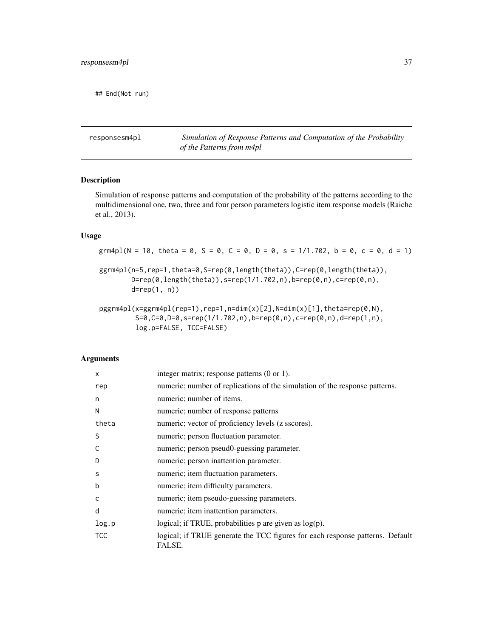<span id="page-36-0"></span>## End(Not run)

responsesm4pl *Simulation of Response Patterns and Computation of the Probability of the Patterns from m4pl*

# <span id="page-36-1"></span>Description

Simulation of response patterns and computation of the probability of the patterns according to the multidimensional one, two, three and four person parameters logistic item response models (Raiche et al., 2013).

# Usage

grm4pl(N = 10, theta = 0, S = 0, C = 0, D = 0, s = 1/1.702, b = 0, c = 0, d = 1) ggrm4pl(n=5,rep=1,theta=0,S=rep(0,length(theta)),C=rep(0,length(theta)),  $D = rep(0, length(theta)), s = rep(1/1.702, n), b = rep(0, n), c = rep(0, n),$ d=rep(1, n))

pggrm4pl(x=ggrm4pl(rep=1),rep=1,n=dim(x)[2],N=dim(x)[1],theta=rep(0,N), S=0,C=0,D=0,s=rep(1/1.702,n),b=rep(0,n),c=rep(0,n),d=rep(1,n), log.p=FALSE, TCC=FALSE)

# Arguments

| $\mathsf{x}$ | integer matrix; response patterns (0 or 1).                                             |
|--------------|-----------------------------------------------------------------------------------------|
| rep          | numeric; number of replications of the simulation of the response patterns.             |
| n            | numeric; number of items.                                                               |
| N            | numeric; number of response patterns                                                    |
| theta        | numeric; vector of proficiency levels (z sscores).                                      |
| S            | numeric; person fluctuation parameter.                                                  |
| C            | numeric; person pseud0-guessing parameter.                                              |
| D            | numeric; person inattention parameter.                                                  |
| S            | numeric; item fluctuation parameters.                                                   |
| $\mathbf b$  | numeric; item difficulty parameters.                                                    |
| C            | numeric; item pseudo-guessing parameters.                                               |
| d            | numeric; item inattention parameters.                                                   |
| log.p        | logical; if TRUE, probabilities p are given as log(p).                                  |
| <b>TCC</b>   | logical; if TRUE generate the TCC figures for each response patterns. Default<br>FALSE. |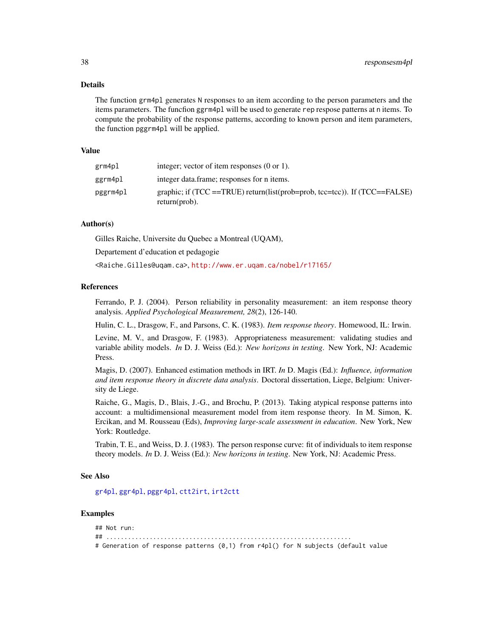#### <span id="page-37-0"></span>Details

The function grm4pl generates N responses to an item according to the person parameters and the items parameters. The funcfion ggrm4pl will be used to generate rep respose patterns at n items. To compute the probability of the response patterns, according to known person and item parameters, the function pggrm4pl will be applied.

#### Value

| grm4pl   | integer; vector of item responses $(0 \text{ or } 1)$ .                                              |
|----------|------------------------------------------------------------------------------------------------------|
| ggrm4pl  | integer data frame; responses for n items.                                                           |
| pggrm4pl | graphic; if $(TCC = TRUE)$ return(list(prob=prob, tcc=tcc)). If $(TCC = FALSE)$<br>$return (prob)$ . |

# Author(s)

Gilles Raiche, Universite du Quebec a Montreal (UQAM),

Departement d'education et pedagogie

<Raiche.Gilles@uqam.ca>, <http://www.er.uqam.ca/nobel/r17165/>

#### References

Ferrando, P. J. (2004). Person reliability in personality measurement: an item response theory analysis. *Applied Psychological Measurement, 28*(2), 126-140.

Hulin, C. L., Drasgow, F., and Parsons, C. K. (1983). *Item response theory*. Homewood, IL: Irwin.

Levine, M. V., and Drasgow, F. (1983). Appropriateness measurement: validating studies and variable ability models. *In* D. J. Weiss (Ed.): *New horizons in testing*. New York, NJ: Academic Press.

Magis, D. (2007). Enhanced estimation methods in IRT. *In* D. Magis (Ed.): *Influence, information and item response theory in discrete data analysis*. Doctoral dissertation, Liege, Belgium: University de Liege.

Raiche, G., Magis, D., Blais, J.-G., and Brochu, P. (2013). Taking atypical response patterns into account: a multidimensional measurement model from item response theory. In M. Simon, K. Ercikan, and M. Rousseau (Eds), *Improving large-scale assessment in education*. New York, New York: Routledge.

Trabin, T. E., and Weiss, D. J. (1983). The person response curve: fit of individuals to item response theory models. *In* D. J. Weiss (Ed.): *New horizons in testing*. New York, NJ: Academic Press.

#### See Also

[gr4pl](#page-33-1), [ggr4pl](#page-33-1), [pggr4pl](#page-33-1), [ctt2irt](#page-6-1), [irt2ctt](#page-6-1)

## Examples

## Not run: ## .................................................................... # Generation of response patterns (0,1) from r4pl() for N subjects (default value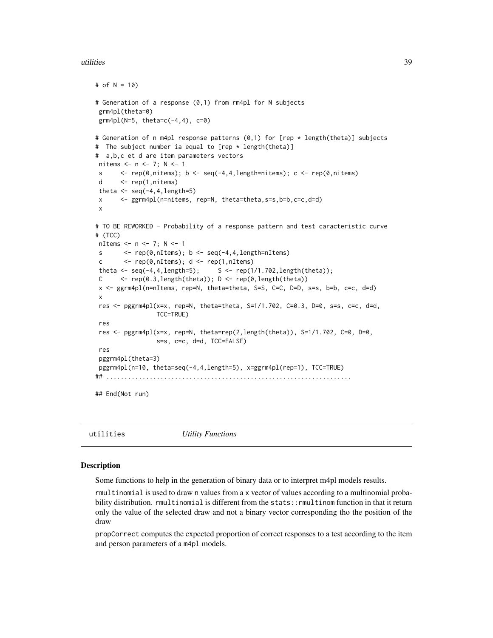#### <span id="page-38-0"></span>utilities 39

```
# of N = 10)
# Generation of a response (0,1) from rm4pl for N subjects
grm4pl(theta=0)
grm4pl(N=5, theta=c(-4, 4), c=0)
# Generation of n m4pl response patterns (0,1) for [rep * length(theta)] subjects
# The subject number ia equal to [rep * length(theta)]
# a,b,c et d are item parameters vectors
nitems <- n <- 7; N <- 1
s \langle - rep(0,nitems); b \langle - seq(-4,4,length=nitems); c \langle - rep(0,nitems)
d <- rep(1,nitems)
theta \leq seq(-4,4, length=5)
x <- ggrm4pl(n=nitems, rep=N, theta=theta,s=s,b=b,c=c,d=d)
x
# TO BE REWORKED - Probability of a response pattern and test caracteristic curve
# (TCC)
nItems <- n <- 7; N <- 1
s \leftarrow \text{rep}(\emptyset, \text{nItems}); b \leftarrow \text{seq}(-4, 4, \text{length=nItems})c \leftarrow \text{rep}(\emptyset, \text{nItems}); d \leftarrow \text{rep}(1, \text{nItems})theta \leq seq(-4,4, length=5); S \leq rep(1/1.702, length(theta));
C \leftarrow \text{rep}(0.3, \text{length}(\text{theta})); D \leftarrow \text{rep}(0, \text{length}(\text{theta}))x <- ggrm4pl(n=nItems, rep=N, theta=theta, S=S, C=C, D=D, s=s, b=b, c=c, d=d)
x
res <- pggrm4pl(x=x, rep=N, theta=theta, S=1/1.702, C=0.3, D=0, s=s, c=c, d=d,
                   TCC=TRUE)
res
res <- pggrm4pl(x=x, rep=N, theta=rep(2,length(theta)), S=1/1.702, C=0, D=0,
                   s=s, c=c, d=d, TCC=FALSE)
res
pggrm4pl(theta=3)
pggrm4pl(n=10, theta=seq(-4,4,length=5), x=ggrm4pl(rep=1), TCC=TRUE)
## ....................................................................
## End(Not run)
```
utilities *Utility Functions*

#### Description

Some functions to help in the generation of binary data or to interpret m4pl models results.

rmultinomial is used to draw n values from a x vector of values according to a multinomial probability distribution. rmultinomial is different from the stats::rmultinom function in that it return only the value of the selected draw and not a binary vector corresponding tho the position of the draw

propCorrect computes the expected proportion of correct responses to a test according to the item and person parameters of a m4pl models.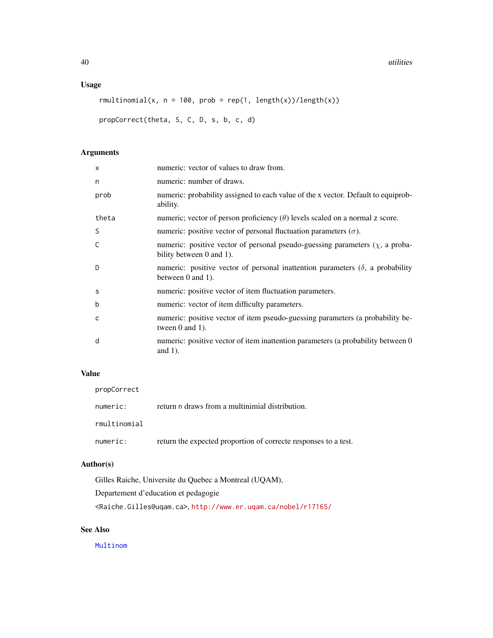# <span id="page-39-0"></span>Usage

```
rmultinomial(x, n = 100, prob = rep(1, length(x))/length(x))
```
propCorrect(theta, S, C, D, s, b, c, d)

# Arguments

| numeric: vector of values to draw from.                                                                          |
|------------------------------------------------------------------------------------------------------------------|
| numeric: number of draws.                                                                                        |
| numeric: probability assigned to each value of the x vector. Default to equiprob-<br>ability.                    |
| numeric; vector of person proficiency $(\theta)$ levels scaled on a normal z score.                              |
| numeric: positive vector of personal fluctuation parameters $(\sigma)$ .                                         |
| numeric: positive vector of personal pseudo-guessing parameters $(\chi)$ , a proba-<br>bility between 0 and 1).  |
| numeric: positive vector of personal inattention parameters $(\delta)$ , a probability<br>between $0$ and $1$ ). |
| numeric: positive vector of item fluctuation parameters.                                                         |
| numeric: vector of item difficulty parameters.                                                                   |
| numeric: positive vector of item pseudo-guessing parameters (a probability be-<br>tween $0$ and $1$ ).           |
| numeric: positive vector of item inattention parameters (a probability between 0<br>and $1$ ).                   |
|                                                                                                                  |

# Value

| propCorrect  |                                                                 |
|--------------|-----------------------------------------------------------------|
| numeric:     | return n draws from a multinimial distribution.                 |
| rmultinomial |                                                                 |
| numeric:     | return the expected proportion of correcte responses to a test. |

# Author(s)

Gilles Raiche, Universite du Quebec a Montreal (UQAM),

Departement d'education et pedagogie

<Raiche.Gilles@uqam.ca>, <http://www.er.uqam.ca/nobel/r17165/>

# See Also

[Multinom](#page-0-0)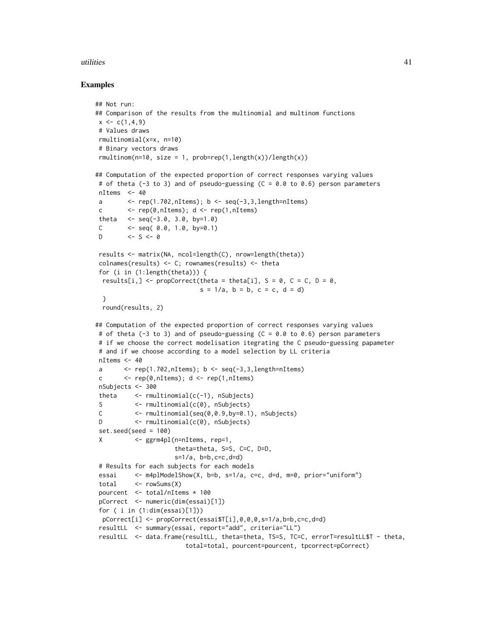#### utilities **41**

```
## Not run:
## Comparison of the results from the multinomial and multinom functions
x \leftarrow c(1, 4, 9)# Values draws
rmultinomial(x=x, n=10)
 # Binary vectors draws
rmultinom(n=10, size = 1, prob=rep(1,length(x))/length(x))
## Computation of the expected proportion of correct responses varying values
# of theta (-3 to 3) and of pseudo-guessing (C = 0.0 to 0.6) person parameters
nItems <-40a \leq rep(1.702,nItems); b \leq seq(-3,3,length=nItems)
 c \langle - rep(0, nItems); d \langle - rep(1, nItems)
 theta \leq - seq(-3.0, 3.0, by=1.0)
 C \leq seq( 0.0, 1.0, by=0.1)
 D \le -S \le -\emptysetresults <- matrix(NA, ncol=length(C), nrow=length(theta))
 colnames(results) <- C; rownames(results) <- theta
 for (i in (1:length(theta))) {
 results[i,] <- propCorrect(theta = theta[i], S = 0, C = C, D = 0,
                             s = 1/a, b = b, c = c, d = d)
 }
 round(results, 2)
## Computation of the expected proportion of correct responses varying values
# of theta (-3 to 3) and of pseudo-guessing (C = 0.0 to 0.6) person parameters
 # if we choose the correct modelisation itegrating the C pseudo-guessing papameter
 # and if we choose according to a model selection by LL criteria
nItems <- 40
 a \leq rep(1.702,nItems); b \leq seq(-3,3,length=nItems)
 c \leftarrow \text{rep}(\emptyset, \text{nItems}); d \leftarrow \text{rep}(1, \text{nItems})nSubjects <- 300
 theta \leq rmultinomial(c(-1), nSubjects)
 S <- rmultinomial(c(0), nSubjects)
C <- rmultinomial(seq(0,0.9,by=0.1), nSubjects)
D <- rmultinomial(c(0), nSubjects)
 set.seed(seed = 100)
 X <- ggrm4pl(n=nItems, rep=1,
                      theta=theta, S=S, C=C, D=D,
                      s=1/a, b=b, c=c, d=d)
 # Results for each subjects for each models
 essai <- m4plModelShow(X, b=b, s=1/a, c=c, d=d, m=0, prior="uniform")
 total <- rowSums(X)
 pourcent <- total/nItems * 100
 pCorrect <- numeric(dim(essai)[1])
 for ( i in (1:dim(essai)[1]))
 pCorrect[i] <- propCorrect(essai$T[i],0,0,0,s=1/a,b=b,c=c,d=d)
 resultLL <- summary(essai, report="add", criteria="LL")
 resultLL <- data.frame(resultLL, theta=theta, TS=S, TC=C, errorT=resultLL$T - theta,
                         total=total, pourcent=pourcent, tpcorrect=pCorrect)
```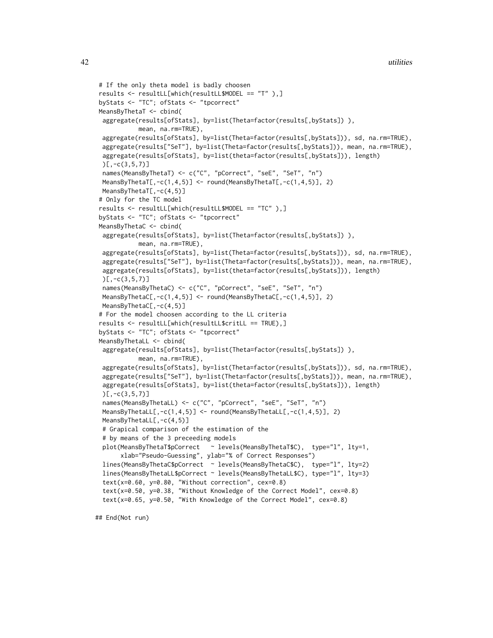```
# If the only theta model is badly choosen
results <- resultLL[which(resultLL$MODEL == "T" ),]
byStats <- "TC"; ofStats <- "tpcorrect"
MeansByThetaT <- cbind(
aggregate(results[ofStats], by=list(Theta=factor(results[,byStats])),
          mean, na.rm=TRUE),
aggregate(results[ofStats], by=list(Theta=factor(results[,byStats])), sd, na.rm=TRUE),
aggregate(results["SeT"], by=list(Theta=factor(results[,byStats])), mean, na.rm=TRUE),
aggregate(results[ofStats], by=list(theta=factor(results[,byStats])), length)
)[7,-c(3,5,7)]names(MeansByThetaT) <- c("C", "pCorrect", "seE", "SeT", "n")
MeansByThetaT[,-c(1,4,5)] <- round(MeansByThetaT[,-c(1,4,5)], 2)
MeansByThetaT[,-c(4,5)]
# Only for the TC model
results <- resultLL[which(resultLL$MODEL == "TC" ),]
byStats <- "TC"; ofStats <- "tpcorrect"
MeansByThetaC <- cbind(
aggregate(results[ofStats], by=list(Theta=factor(results[,byStats])),
          mean, na.rm=TRUE),
aggregate(results[ofStats], by=list(Theta=factor(results[,byStats])), sd, na.rm=TRUE),
aggregate(results["SeT"], by=list(Theta=factor(results[,byStats])), mean, na.rm=TRUE),
aggregate(results[ofStats], by=list(theta=factor(results[,byStats])), length)
)[,-c(3,5,7)]
names(MeansByThetaC) <- c("C", "pCorrect", "seE", "SeT", "n")
MeansByThetaC[,-c(1,4,5)] <- round(MeansByThetaC[,-c(1,4,5)], 2)
MeansByThetaC[,-c(4,5)]
# For the model choosen according to the LL criteria
results <- resultLL[which(resultLL$critLL == TRUE),]
byStats <- "TC"; ofStats <- "tpcorrect"
MeansByThetaLL <- cbind(
aggregate(results[ofStats], by=list(Theta=factor(results[,byStats])),
          mean, na.rm=TRUE),
aggregate(results[ofStats], by=list(Theta=factor(results[,byStats])), sd, na.rm=TRUE),
aggregate(results["SeT"], by=list(Theta=factor(results[,byStats])), mean, na.rm=TRUE),
aggregate(results[ofStats], by=list(theta=factor(results[,byStats])), length)
)[7,-c(3,5,7)]names(MeansByThetaLL) <- c("C", "pCorrect", "seE", "SeT", "n")
MeansByThetaLL[,-c(1,4,5)] <- round(MeansByThetaLL[,-c(1,4,5)], 2)
MeansByThetaLL[,-c(4,5)]
# Grapical comparison of the estimation of the
# by means of the 3 preceeding models
plot(MeansByThetaT$pCorrect ~ levels(MeansByThetaT$C), type="l", lty=1,
     xlab="Pseudo-Guessing", ylab="% of Correct Responses")
lines(MeansByThetaC$pCorrect ~ levels(MeansByThetaC$C), type="l", lty=2)
lines(MeansByThetaLL$pCorrect ~ levels(MeansByThetaLL$C), type="l", lty=3)
 text(x=0.60, y=0.80, "Without correction", cex=0.8)
 text(x=0.50, y=0.38, "Without Knowledge of the Correct Model", cex=0.8)
 text(x=0.65, y=0.50, "With Knowledge of the Correct Model", cex=0.8)
```
## End(Not run)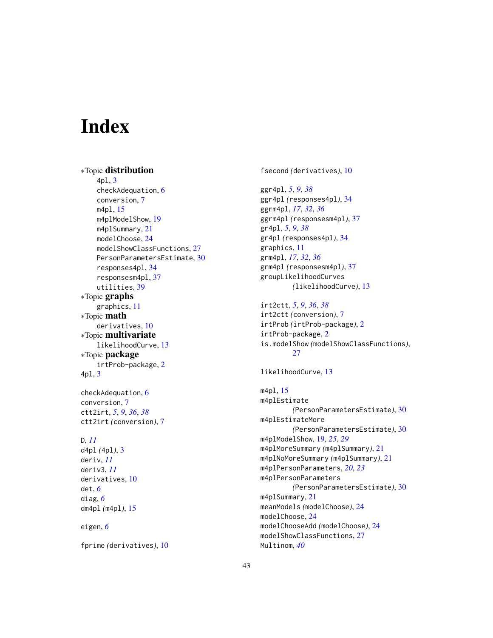# <span id="page-42-0"></span>**Index**

∗Topic distribution 4pl, [3](#page-2-0) checkAdequation, [6](#page-5-0) conversion, [7](#page-6-0) m4pl, [15](#page-14-0) m4plModelShow, [19](#page-18-0) m4plSummary, [21](#page-20-0) modelChoose, [24](#page-23-0) modelShowClassFunctions, [27](#page-26-0) PersonParametersEstimate, [30](#page-29-0) responses4pl, [34](#page-33-0) responsesm4pl, [37](#page-36-0) utilities, [39](#page-38-0) ∗Topic graphs graphics, [11](#page-10-0) ∗Topic math derivatives, [10](#page-9-0) ∗Topic multivariate likelihoodCurve, [13](#page-12-0) ∗Topic package irtProb-package, [2](#page-1-0) 4pl, [3](#page-2-0)

checkAdequation, [6](#page-5-0) conversion, [7](#page-6-0) ctt2irt, *[5](#page-4-0)*, *[9](#page-8-0)*, *[36](#page-35-0)*, *[38](#page-37-0)* ctt2irt *(*conversion*)*, [7](#page-6-0)

# D, *[11](#page-10-0)*

d4pl *(*4pl*)*, [3](#page-2-0) deriv, *[11](#page-10-0)* deriv3, *[11](#page-10-0)* derivatives, [10](#page-9-0) det, *[6](#page-5-0)* diag, *[6](#page-5-0)* dm4pl *(*m4pl*)*, [15](#page-14-0)

eigen, *[6](#page-5-0)*

fprime *(*derivatives*)*, [10](#page-9-0)

fsecond *(*derivatives*)*, [10](#page-9-0)

ggr4pl, *[5](#page-4-0)*, *[9](#page-8-0)*, *[38](#page-37-0)* ggr4pl *(*responses4pl*)*, [34](#page-33-0) ggrm4pl, *[17](#page-16-0)*, *[32](#page-31-0)*, *[36](#page-35-0)* ggrm4pl *(*responsesm4pl*)*, [37](#page-36-0) gr4pl, *[5](#page-4-0)*, *[9](#page-8-0)*, *[38](#page-37-0)* gr4pl *(*responses4pl*)*, [34](#page-33-0) graphics, [11](#page-10-0) grm4pl, *[17](#page-16-0)*, *[32](#page-31-0)*, *[36](#page-35-0)* grm4pl *(*responsesm4pl*)*, [37](#page-36-0) groupLikelihoodCurves *(*likelihoodCurve*)*, [13](#page-12-0)

# irt2ctt, *[5](#page-4-0)*, *[9](#page-8-0)*, *[36](#page-35-0)*, *[38](#page-37-0)*

irt2ctt *(*conversion*)*, [7](#page-6-0) irtProb *(*irtProb-package*)*, [2](#page-1-0) irtProb-package, [2](#page-1-0) is.modelShow *(*modelShowClassFunctions*)*, [27](#page-26-0)

```
likelihoodCurve, 13
```
m4pl, [15](#page-14-0) m4plEstimate *(*PersonParametersEstimate*)*, [30](#page-29-0) m4plEstimateMore *(*PersonParametersEstimate*)*, [30](#page-29-0) m4plModelShow, [19,](#page-18-0) *[25](#page-24-0)*, *[29](#page-28-0)* m4plMoreSummary *(*m4plSummary*)*, [21](#page-20-0) m4plNoMoreSummary *(*m4plSummary*)*, [21](#page-20-0) m4plPersonParameters, *[20](#page-19-0)*, *[23](#page-22-0)* m4plPersonParameters *(*PersonParametersEstimate*)*, [30](#page-29-0) m4plSummary, [21](#page-20-0) meanModels *(*modelChoose*)*, [24](#page-23-0) modelChoose, [24](#page-23-0) modelChooseAdd *(*modelChoose*)*, [24](#page-23-0) modelShowClassFunctions, [27](#page-26-0) Multinom, *[40](#page-39-0)*